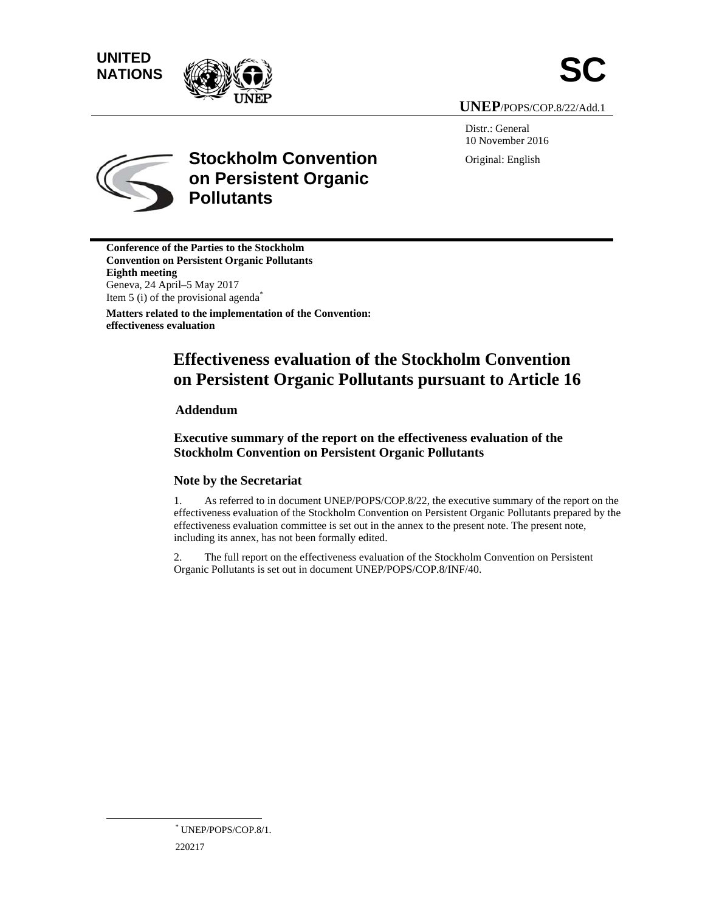# **UNITED** UNITED<br>NATIONS





**UNEP P**/POPS/COP .8/22/Add.1

Distr.: General 10 November 2016 Original: English



# **Stockholm Convention on Persistent Organic Pollutants**

**Conference of the Parties to the Stockholm Convention on Persistent Organic Pollutants Eighth m meeting**  Geneva, 2 24 April–5 M ay 2017 Item 5 (i) of the provisional agenda<sup>\*</sup> **Matters related to the implementation of the Convention: effectiveness evaluation** 

# **Effectiveness evaluation of the Stockholm Convention on Persistent Organic Pollutants pursuant to Article 16**

# **Adde endum**

# **Executive summary of the report on the effectiveness evaluation of the Stockholm Convention on Persistent Organic Pollutants**

# Note by the Secretariat

1. effectiveness evaluation of the Stockholm Convention on Persistent Organic Pollutants prepared by the effectiveness evaluation committee is set out in the annex to the present note. The present note, including its annex, has not been formally edited. As referred to in document UNEP/POPS/COP.8/22, the executive summary of the report on the

2. Organic Pollutants is set out in document UNEP/POPS/COP.8/INF/40. The full report on the effectiveness evaluation of the Stockholm Convention on Persistent

 $\overline{a}$ 

<sup>220217</sup> \* UNEP/POPS/COP.8/1.  $\overline{a}$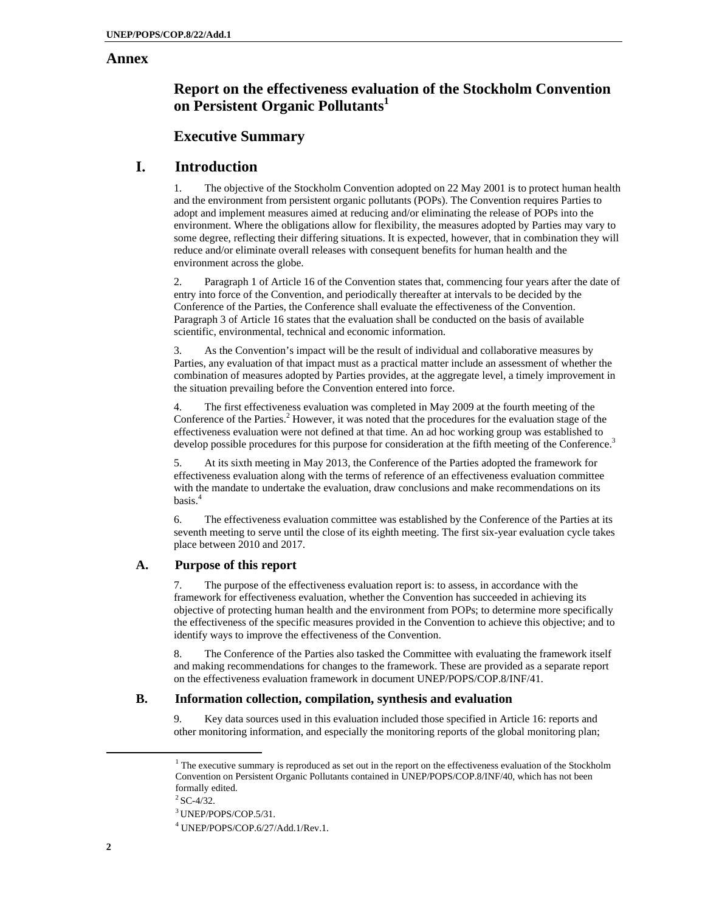# **Annex**

# **Report on the effectiveness evaluation of the Stockholm Convention on Persistent Organic Pollutants<sup>1</sup>**

# **Executive Summary**

# **I. Introduction**

1. The objective of the Stockholm Convention adopted on 22 May 2001 is to protect human health and the environment from persistent organic pollutants (POPs). The Convention requires Parties to adopt and implement measures aimed at reducing and/or eliminating the release of POPs into the environment. Where the obligations allow for flexibility, the measures adopted by Parties may vary to some degree, reflecting their differing situations. It is expected, however, that in combination they will reduce and/or eliminate overall releases with consequent benefits for human health and the environment across the globe.

2. Paragraph 1 of Article 16 of the Convention states that, commencing four years after the date of entry into force of the Convention, and periodically thereafter at intervals to be decided by the Conference of the Parties, the Conference shall evaluate the effectiveness of the Convention. Paragraph 3 of Article 16 states that the evaluation shall be conducted on the basis of available scientific, environmental, technical and economic information.

3. As the Convention's impact will be the result of individual and collaborative measures by Parties, any evaluation of that impact must as a practical matter include an assessment of whether the combination of measures adopted by Parties provides, at the aggregate level, a timely improvement in the situation prevailing before the Convention entered into force.

4. The first effectiveness evaluation was completed in May 2009 at the fourth meeting of the Conference of the Parties.<sup>2</sup> However, it was noted that the procedures for the evaluation stage of the effectiveness evaluation were not defined at that time. An ad hoc working group was established to develop possible procedures for this purpose for consideration at the fifth meeting of the Conference.<sup>3</sup>

5. At its sixth meeting in May 2013, the Conference of the Parties adopted the framework for effectiveness evaluation along with the terms of reference of an effectiveness evaluation committee with the mandate to undertake the evaluation, draw conclusions and make recommendations on its basis.<sup>4</sup>

6. The effectiveness evaluation committee was established by the Conference of the Parties at its seventh meeting to serve until the close of its eighth meeting. The first six-year evaluation cycle takes place between 2010 and 2017.

# **A. Purpose of this report**

7. The purpose of the effectiveness evaluation report is: to assess, in accordance with the framework for effectiveness evaluation, whether the Convention has succeeded in achieving its objective of protecting human health and the environment from POPs; to determine more specifically the effectiveness of the specific measures provided in the Convention to achieve this objective; and to identify ways to improve the effectiveness of the Convention.

8. The Conference of the Parties also tasked the Committee with evaluating the framework itself and making recommendations for changes to the framework. These are provided as a separate report on the effectiveness evaluation framework in document UNEP/POPS/COP.8/INF/41.

# **B. Information collection, compilation, synthesis and evaluation**

9. Key data sources used in this evaluation included those specified in Article 16: reports and other monitoring information, and especially the monitoring reports of the global monitoring plan;

 <sup>1</sup> <sup>1</sup> The executive summary is reproduced as set out in the report on the effectiveness evaluation of the Stockholm Convention on Persistent Organic Pollutants contained in UNEP/POPS/COP.8/INF/40, which has not been formally edited.

 $2$  SC-4/32.

<sup>3</sup> UNEP/POPS/COP.5/31.

<sup>4</sup> UNEP/POPS/COP.6/27/Add.1/Rev.1.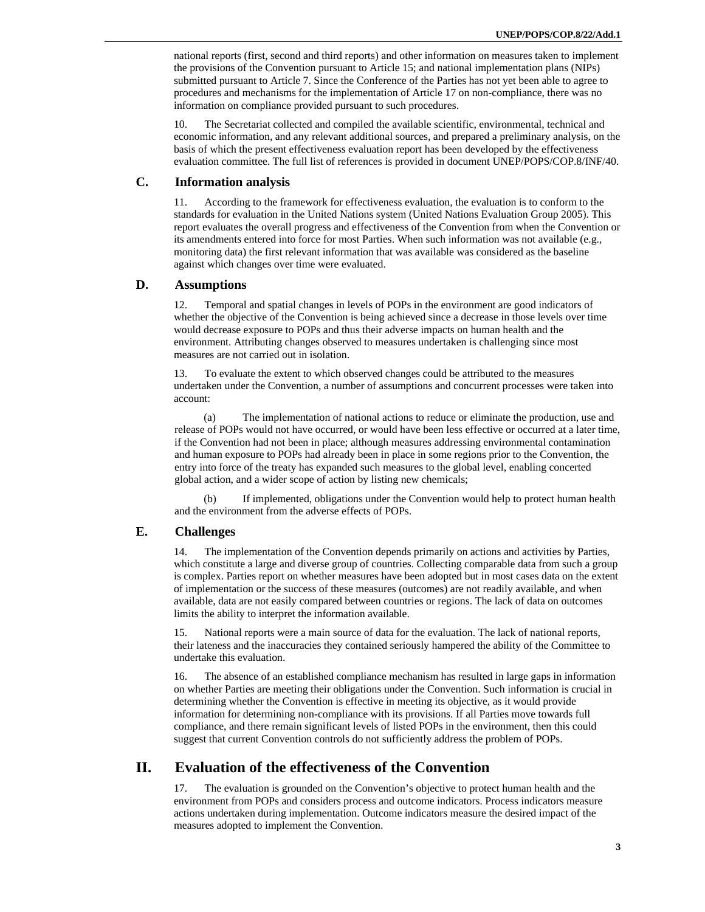national reports (first, second and third reports) and other information on measures taken to implement the provisions of the Convention pursuant to Article 15; and national implementation plans (NIPs) submitted pursuant to Article 7. Since the Conference of the Parties has not yet been able to agree to procedures and mechanisms for the implementation of Article 17 on non-compliance, there was no information on compliance provided pursuant to such procedures.

10. The Secretariat collected and compiled the available scientific, environmental, technical and economic information, and any relevant additional sources, and prepared a preliminary analysis, on the basis of which the present effectiveness evaluation report has been developed by the effectiveness evaluation committee. The full list of references is provided in document UNEP/POPS/COP.8/INF/40.

# **C. Information analysis**

11. According to the framework for effectiveness evaluation, the evaluation is to conform to the standards for evaluation in the United Nations system (United Nations Evaluation Group 2005). This report evaluates the overall progress and effectiveness of the Convention from when the Convention or its amendments entered into force for most Parties. When such information was not available (e.g., monitoring data) the first relevant information that was available was considered as the baseline against which changes over time were evaluated.

# **D. Assumptions**

12. Temporal and spatial changes in levels of POPs in the environment are good indicators of whether the objective of the Convention is being achieved since a decrease in those levels over time would decrease exposure to POPs and thus their adverse impacts on human health and the environment. Attributing changes observed to measures undertaken is challenging since most measures are not carried out in isolation.

13. To evaluate the extent to which observed changes could be attributed to the measures undertaken under the Convention, a number of assumptions and concurrent processes were taken into account:

(a) The implementation of national actions to reduce or eliminate the production, use and release of POPs would not have occurred, or would have been less effective or occurred at a later time, if the Convention had not been in place; although measures addressing environmental contamination and human exposure to POPs had already been in place in some regions prior to the Convention, the entry into force of the treaty has expanded such measures to the global level, enabling concerted global action, and a wider scope of action by listing new chemicals;

(b) If implemented, obligations under the Convention would help to protect human health and the environment from the adverse effects of POPs.

# **E. Challenges**

14. The implementation of the Convention depends primarily on actions and activities by Parties, which constitute a large and diverse group of countries. Collecting comparable data from such a group is complex. Parties report on whether measures have been adopted but in most cases data on the extent of implementation or the success of these measures (outcomes) are not readily available, and when available, data are not easily compared between countries or regions. The lack of data on outcomes limits the ability to interpret the information available.

15. National reports were a main source of data for the evaluation. The lack of national reports, their lateness and the inaccuracies they contained seriously hampered the ability of the Committee to undertake this evaluation.

16. The absence of an established compliance mechanism has resulted in large gaps in information on whether Parties are meeting their obligations under the Convention. Such information is crucial in determining whether the Convention is effective in meeting its objective, as it would provide information for determining non-compliance with its provisions. If all Parties move towards full compliance, and there remain significant levels of listed POPs in the environment, then this could suggest that current Convention controls do not sufficiently address the problem of POPs.

# **II. Evaluation of the effectiveness of the Convention**

17. The evaluation is grounded on the Convention's objective to protect human health and the environment from POPs and considers process and outcome indicators. Process indicators measure actions undertaken during implementation. Outcome indicators measure the desired impact of the measures adopted to implement the Convention.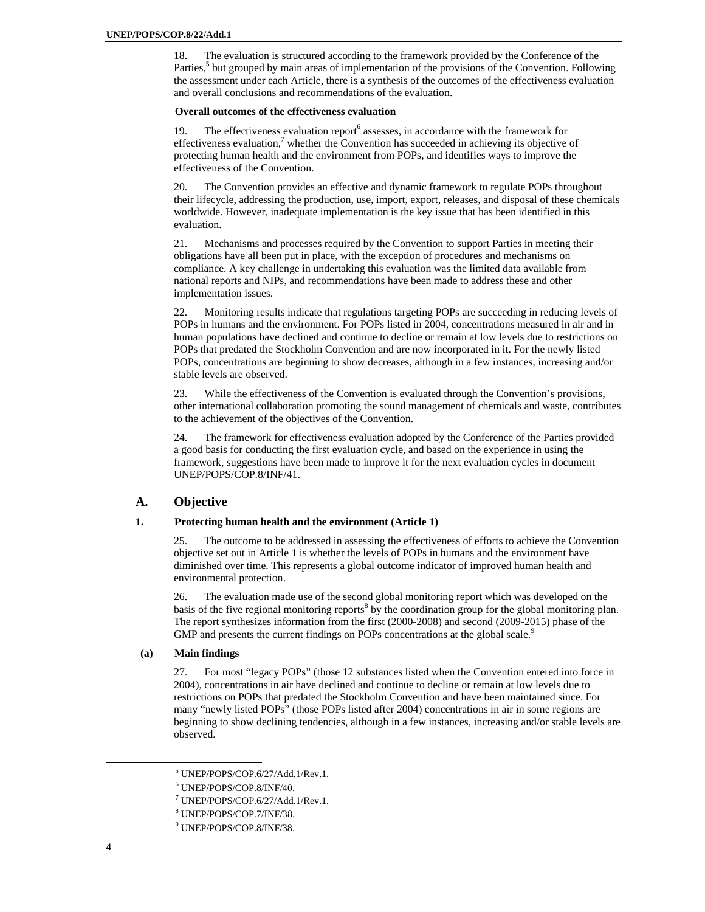18. The evaluation is structured according to the framework provided by the Conference of the Parties,<sup>5</sup> but grouped by main areas of implementation of the provisions of the Convention. Following the assessment under each Article, there is a synthesis of the outcomes of the effectiveness evaluation and overall conclusions and recommendations of the evaluation.

# **Overall outcomes of the effectiveness evaluation**

19. The effectiveness evaluation report<sup>6</sup> assesses, in accordance with the framework for effectiveness evaluation,<sup>7</sup> whether the Convention has succeeded in achieving its objective of protecting human health and the environment from POPs, and identifies ways to improve the effectiveness of the Convention.

20. The Convention provides an effective and dynamic framework to regulate POPs throughout their lifecycle, addressing the production, use, import, export, releases, and disposal of these chemicals worldwide. However, inadequate implementation is the key issue that has been identified in this evaluation.

21. Mechanisms and processes required by the Convention to support Parties in meeting their obligations have all been put in place, with the exception of procedures and mechanisms on compliance. A key challenge in undertaking this evaluation was the limited data available from national reports and NIPs, and recommendations have been made to address these and other implementation issues.

22. Monitoring results indicate that regulations targeting POPs are succeeding in reducing levels of POPs in humans and the environment. For POPs listed in 2004, concentrations measured in air and in human populations have declined and continue to decline or remain at low levels due to restrictions on POPs that predated the Stockholm Convention and are now incorporated in it. For the newly listed POPs, concentrations are beginning to show decreases, although in a few instances, increasing and/or stable levels are observed.

23. While the effectiveness of the Convention is evaluated through the Convention's provisions, other international collaboration promoting the sound management of chemicals and waste, contributes to the achievement of the objectives of the Convention.

24. The framework for effectiveness evaluation adopted by the Conference of the Parties provided a good basis for conducting the first evaluation cycle, and based on the experience in using the framework, suggestions have been made to improve it for the next evaluation cycles in document UNEP/POPS/COP.8/INF/41.

# **A. Objective**

#### **1. Protecting human health and the environment (Article 1)**

25. The outcome to be addressed in assessing the effectiveness of efforts to achieve the Convention objective set out in Article 1 is whether the levels of POPs in humans and the environment have diminished over time. This represents a global outcome indicator of improved human health and environmental protection.

26. The evaluation made use of the second global monitoring report which was developed on the basis of the five regional monitoring reports<sup>8</sup> by the coordination group for the global monitoring plan. The report synthesizes information from the first (2000-2008) and second (2009-2015) phase of the GMP and presents the current findings on POPs concentrations at the global scale.<sup>9</sup>

# **(a) Main findings**

27. For most "legacy POPs" (those 12 substances listed when the Convention entered into force in 2004), concentrations in air have declined and continue to decline or remain at low levels due to restrictions on POPs that predated the Stockholm Convention and have been maintained since. For many "newly listed POPs" (those POPs listed after 2004) concentrations in air in some regions are beginning to show declining tendencies, although in a few instances, increasing and/or stable levels are observed.

 $\frac{1}{5}$ UNEP/POPS/COP.6/27/Add.1/Rev.1.

<sup>6</sup> UNEP/POPS/COP.8/INF/40.

<sup>7</sup> UNEP/POPS/COP.6/27/Add.1/Rev.1.

<sup>8</sup> UNEP/POPS/COP.7/INF/38.

<sup>9</sup> UNEP/POPS/COP.8/INF/38.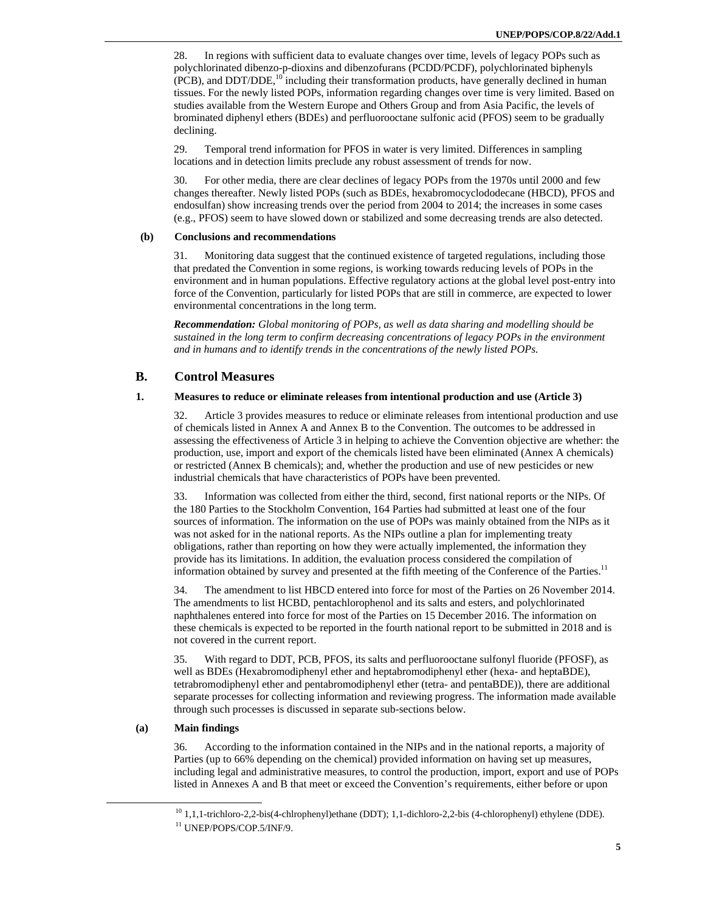28. In regions with sufficient data to evaluate changes over time, levels of legacy POPs such as polychlorinated dibenzo-p-dioxins and dibenzofurans (PCDD/PCDF), polychlorinated biphenyls  $(PCB)$ , and DDT/DDE,<sup>10</sup> including their transformation products, have generally declined in human tissues. For the newly listed POPs, information regarding changes over time is very limited. Based on studies available from the Western Europe and Others Group and from Asia Pacific, the levels of brominated diphenyl ethers (BDEs) and perfluorooctane sulfonic acid (PFOS) seem to be gradually declining.

29. Temporal trend information for PFOS in water is very limited. Differences in sampling locations and in detection limits preclude any robust assessment of trends for now.

30. For other media, there are clear declines of legacy POPs from the 1970s until 2000 and few changes thereafter. Newly listed POPs (such as BDEs, hexabromocyclododecane (HBCD), PFOS and endosulfan) show increasing trends over the period from 2004 to 2014; the increases in some cases (e.g., PFOS) seem to have slowed down or stabilized and some decreasing trends are also detected.

# **(b) Conclusions and recommendations**

31. Monitoring data suggest that the continued existence of targeted regulations, including those that predated the Convention in some regions, is working towards reducing levels of POPs in the environment and in human populations. Effective regulatory actions at the global level post-entry into force of the Convention, particularly for listed POPs that are still in commerce, are expected to lower environmental concentrations in the long term.

*Recommendation: Global monitoring of POPs, as well as data sharing and modelling should be sustained in the long term to confirm decreasing concentrations of legacy POPs in the environment and in humans and to identify trends in the concentrations of the newly listed POPs.* 

# **B. Control Measures**

# **1. Measures to reduce or eliminate releases from intentional production and use (Article 3)**

32. Article 3 provides measures to reduce or eliminate releases from intentional production and use of chemicals listed in Annex A and Annex B to the Convention. The outcomes to be addressed in assessing the effectiveness of Article 3 in helping to achieve the Convention objective are whether: the production, use, import and export of the chemicals listed have been eliminated (Annex A chemicals) or restricted (Annex B chemicals); and, whether the production and use of new pesticides or new industrial chemicals that have characteristics of POPs have been prevented.

33. Information was collected from either the third, second, first national reports or the NIPs. Of the 180 Parties to the Stockholm Convention, 164 Parties had submitted at least one of the four sources of information. The information on the use of POPs was mainly obtained from the NIPs as it was not asked for in the national reports. As the NIPs outline a plan for implementing treaty obligations, rather than reporting on how they were actually implemented, the information they provide has its limitations. In addition, the evaluation process considered the compilation of information obtained by survey and presented at the fifth meeting of the Conference of the Parties.<sup>11</sup>

34. The amendment to list HBCD entered into force for most of the Parties on 26 November 2014. The amendments to list HCBD, pentachlorophenol and its salts and esters, and polychlorinated naphthalenes entered into force for most of the Parties on 15 December 2016. The information on these chemicals is expected to be reported in the fourth national report to be submitted in 2018 and is not covered in the current report.

35. With regard to DDT, PCB, PFOS, its salts and perfluorooctane sulfonyl fluoride (PFOSF), as well as BDEs (Hexabromodiphenyl ether and heptabromodiphenyl ether (hexa- and heptaBDE), tetrabromodiphenyl ether and pentabromodiphenyl ether (tetra- and pentaBDE)), there are additional separate processes for collecting information and reviewing progress. The information made available through such processes is discussed in separate sub-sections below.

# **(a) Main findings**

36. According to the information contained in the NIPs and in the national reports, a majority of Parties (up to 66% depending on the chemical) provided information on having set up measures, including legal and administrative measures, to control the production, import, export and use of POPs listed in Annexes A and B that meet or exceed the Convention's requirements, either before or upon

<sup>&</sup>lt;sup>10</sup> 1,1,1-trichloro-2,2-bis(4-chlrophenyl)ethane (DDT); 1,1-dichloro-2,2-bis (4-chlorophenyl) ethylene (DDE).<br><sup>11</sup> UNEP/POPS/COP.5/INF/9.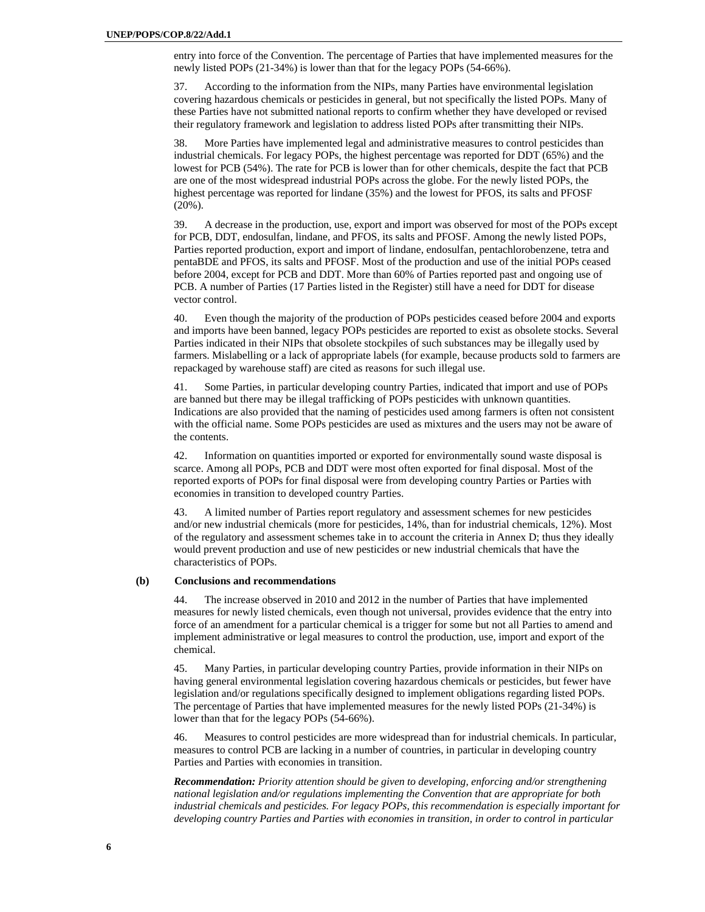entry into force of the Convention. The percentage of Parties that have implemented measures for the newly listed POPs (21-34%) is lower than that for the legacy POPs (54-66%).

37. According to the information from the NIPs, many Parties have environmental legislation covering hazardous chemicals or pesticides in general, but not specifically the listed POPs. Many of these Parties have not submitted national reports to confirm whether they have developed or revised their regulatory framework and legislation to address listed POPs after transmitting their NIPs.

38. More Parties have implemented legal and administrative measures to control pesticides than industrial chemicals. For legacy POPs, the highest percentage was reported for DDT (65%) and the lowest for PCB (54%). The rate for PCB is lower than for other chemicals, despite the fact that PCB are one of the most widespread industrial POPs across the globe. For the newly listed POPs, the highest percentage was reported for lindane (35%) and the lowest for PFOS, its salts and PFOSF (20%).

39. A decrease in the production, use, export and import was observed for most of the POPs except for PCB, DDT, endosulfan, lindane, and PFOS, its salts and PFOSF. Among the newly listed POPs, Parties reported production, export and import of lindane, endosulfan, pentachlorobenzene, tetra and pentaBDE and PFOS, its salts and PFOSF. Most of the production and use of the initial POPs ceased before 2004, except for PCB and DDT. More than 60% of Parties reported past and ongoing use of PCB. A number of Parties (17 Parties listed in the Register) still have a need for DDT for disease vector control.

40. Even though the majority of the production of POPs pesticides ceased before 2004 and exports and imports have been banned, legacy POPs pesticides are reported to exist as obsolete stocks. Several Parties indicated in their NIPs that obsolete stockpiles of such substances may be illegally used by farmers. Mislabelling or a lack of appropriate labels (for example, because products sold to farmers are repackaged by warehouse staff) are cited as reasons for such illegal use.

41. Some Parties, in particular developing country Parties, indicated that import and use of POPs are banned but there may be illegal trafficking of POPs pesticides with unknown quantities. Indications are also provided that the naming of pesticides used among farmers is often not consistent with the official name. Some POPs pesticides are used as mixtures and the users may not be aware of the contents.

42. Information on quantities imported or exported for environmentally sound waste disposal is scarce. Among all POPs, PCB and DDT were most often exported for final disposal. Most of the reported exports of POPs for final disposal were from developing country Parties or Parties with economies in transition to developed country Parties.

43. A limited number of Parties report regulatory and assessment schemes for new pesticides and/or new industrial chemicals (more for pesticides, 14%, than for industrial chemicals, 12%). Most of the regulatory and assessment schemes take in to account the criteria in Annex D; thus they ideally would prevent production and use of new pesticides or new industrial chemicals that have the characteristics of POPs.

#### **(b) Conclusions and recommendations**

44. The increase observed in 2010 and 2012 in the number of Parties that have implemented measures for newly listed chemicals, even though not universal, provides evidence that the entry into force of an amendment for a particular chemical is a trigger for some but not all Parties to amend and implement administrative or legal measures to control the production, use, import and export of the chemical.

45. Many Parties, in particular developing country Parties, provide information in their NIPs on having general environmental legislation covering hazardous chemicals or pesticides, but fewer have legislation and/or regulations specifically designed to implement obligations regarding listed POPs. The percentage of Parties that have implemented measures for the newly listed POPs (21-34%) is lower than that for the legacy POPs (54-66%).

46. Measures to control pesticides are more widespread than for industrial chemicals. In particular, measures to control PCB are lacking in a number of countries, in particular in developing country Parties and Parties with economies in transition.

*Recommendation: Priority attention should be given to developing, enforcing and/or strengthening national legislation and/or regulations implementing the Convention that are appropriate for both industrial chemicals and pesticides. For legacy POPs, this recommendation is especially important for developing country Parties and Parties with economies in transition, in order to control in particular*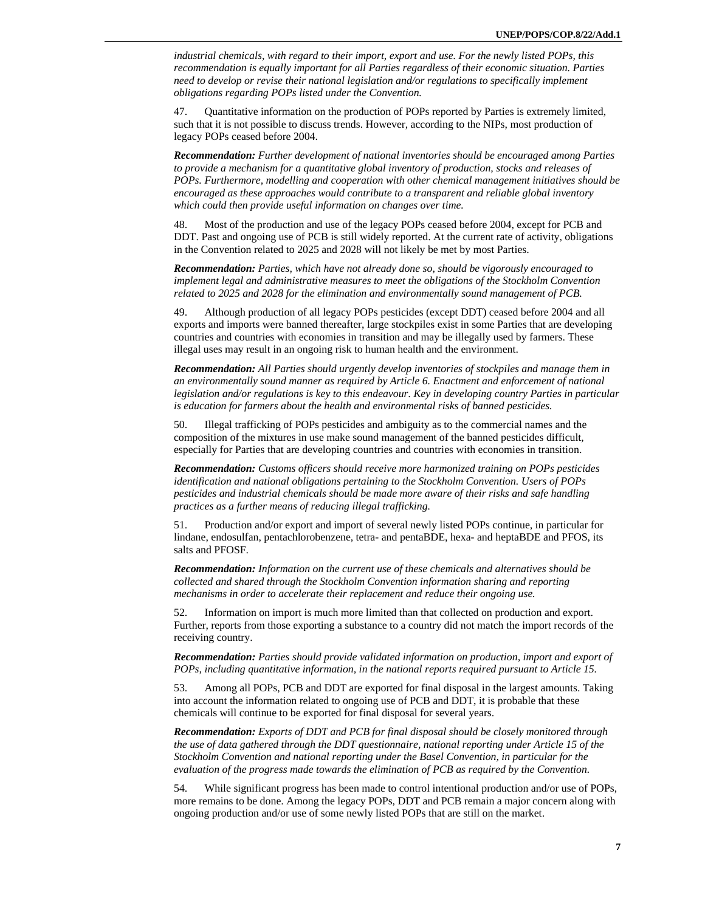*industrial chemicals, with regard to their import, export and use. For the newly listed POPs, this recommendation is equally important for all Parties regardless of their economic situation. Parties need to develop or revise their national legislation and/or regulations to specifically implement obligations regarding POPs listed under the Convention.* 

47. Quantitative information on the production of POPs reported by Parties is extremely limited, such that it is not possible to discuss trends. However, according to the NIPs, most production of legacy POPs ceased before 2004.

*Recommendation: Further development of national inventories should be encouraged among Parties to provide a mechanism for a quantitative global inventory of production, stocks and releases of POPs. Furthermore, modelling and cooperation with other chemical management initiatives should be encouraged as these approaches would contribute to a transparent and reliable global inventory which could then provide useful information on changes over time.* 

48. Most of the production and use of the legacy POPs ceased before 2004, except for PCB and DDT. Past and ongoing use of PCB is still widely reported. At the current rate of activity, obligations in the Convention related to 2025 and 2028 will not likely be met by most Parties.

*Recommendation: Parties, which have not already done so, should be vigorously encouraged to implement legal and administrative measures to meet the obligations of the Stockholm Convention related to 2025 and 2028 for the elimination and environmentally sound management of PCB.* 

49. Although production of all legacy POPs pesticides (except DDT) ceased before 2004 and all exports and imports were banned thereafter, large stockpiles exist in some Parties that are developing countries and countries with economies in transition and may be illegally used by farmers. These illegal uses may result in an ongoing risk to human health and the environment.

*Recommendation: All Parties should urgently develop inventories of stockpiles and manage them in an environmentally sound manner as required by Article 6. Enactment and enforcement of national legislation and/or regulations is key to this endeavour. Key in developing country Parties in particular is education for farmers about the health and environmental risks of banned pesticides.* 

50. Illegal trafficking of POPs pesticides and ambiguity as to the commercial names and the composition of the mixtures in use make sound management of the banned pesticides difficult, especially for Parties that are developing countries and countries with economies in transition.

*Recommendation: Customs officers should receive more harmonized training on POPs pesticides identification and national obligations pertaining to the Stockholm Convention. Users of POPs pesticides and industrial chemicals should be made more aware of their risks and safe handling practices as a further means of reducing illegal trafficking.* 

51. Production and/or export and import of several newly listed POPs continue, in particular for lindane, endosulfan, pentachlorobenzene, tetra- and pentaBDE, hexa- and heptaBDE and PFOS, its salts and PFOSF.

*Recommendation: Information on the current use of these chemicals and alternatives should be collected and shared through the Stockholm Convention information sharing and reporting mechanisms in order to accelerate their replacement and reduce their ongoing use.* 

52. Information on import is much more limited than that collected on production and export. Further, reports from those exporting a substance to a country did not match the import records of the receiving country.

*Recommendation: Parties should provide validated information on production, import and export of POPs, including quantitative information, in the national reports required pursuant to Article 15.* 

53. Among all POPs, PCB and DDT are exported for final disposal in the largest amounts. Taking into account the information related to ongoing use of PCB and DDT, it is probable that these chemicals will continue to be exported for final disposal for several years.

*Recommendation: Exports of DDT and PCB for final disposal should be closely monitored through the use of data gathered through the DDT questionnaire, national reporting under Article 15 of the Stockholm Convention and national reporting under the Basel Convention, in particular for the evaluation of the progress made towards the elimination of PCB as required by the Convention.* 

54. While significant progress has been made to control intentional production and/or use of POPs, more remains to be done. Among the legacy POPs, DDT and PCB remain a major concern along with ongoing production and/or use of some newly listed POPs that are still on the market.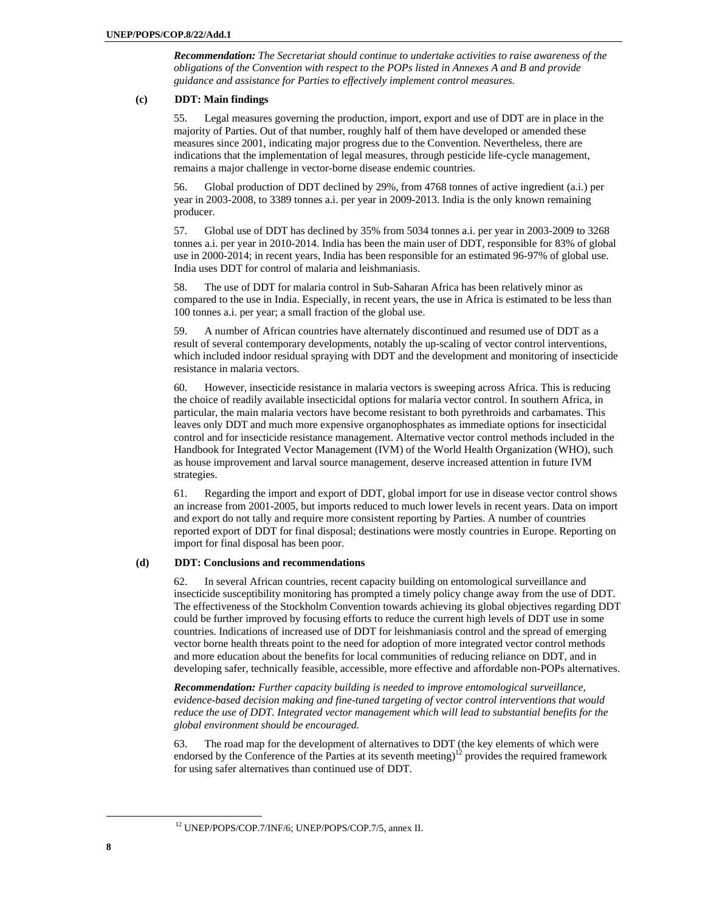*Recommendation: The Secretariat should continue to undertake activities to raise awareness of the obligations of the Convention with respect to the POPs listed in Annexes A and B and provide guidance and assistance for Parties to effectively implement control measures.* 

# **(c) DDT: Main findings**

55. Legal measures governing the production, import, export and use of DDT are in place in the majority of Parties. Out of that number, roughly half of them have developed or amended these measures since 2001, indicating major progress due to the Convention. Nevertheless, there are indications that the implementation of legal measures, through pesticide life-cycle management, remains a major challenge in vector-borne disease endemic countries.

56. Global production of DDT declined by 29%, from 4768 tonnes of active ingredient (a.i.) per year in 2003-2008, to 3389 tonnes a.i. per year in 2009-2013. India is the only known remaining producer.

57. Global use of DDT has declined by 35% from 5034 tonnes a.i. per year in 2003-2009 to 3268 tonnes a.i. per year in 2010-2014. India has been the main user of DDT, responsible for 83% of global use in 2000-2014; in recent years, India has been responsible for an estimated 96-97% of global use. India uses DDT for control of malaria and leishmaniasis.

58. The use of DDT for malaria control in Sub-Saharan Africa has been relatively minor as compared to the use in India. Especially, in recent years, the use in Africa is estimated to be less than 100 tonnes a.i. per year; a small fraction of the global use.

59. A number of African countries have alternately discontinued and resumed use of DDT as a result of several contemporary developments, notably the up-scaling of vector control interventions, which included indoor residual spraying with DDT and the development and monitoring of insecticide resistance in malaria vectors.

60. However, insecticide resistance in malaria vectors is sweeping across Africa. This is reducing the choice of readily available insecticidal options for malaria vector control. In southern Africa, in particular, the main malaria vectors have become resistant to both pyrethroids and carbamates. This leaves only DDT and much more expensive organophosphates as immediate options for insecticidal control and for insecticide resistance management. Alternative vector control methods included in the Handbook for Integrated Vector Management (IVM) of the World Health Organization (WHO), such as house improvement and larval source management, deserve increased attention in future IVM strategies.

61. Regarding the import and export of DDT, global import for use in disease vector control shows an increase from 2001-2005, but imports reduced to much lower levels in recent years. Data on import and export do not tally and require more consistent reporting by Parties. A number of countries reported export of DDT for final disposal; destinations were mostly countries in Europe. Reporting on import for final disposal has been poor.

# **(d) DDT: Conclusions and recommendations**

62. In several African countries, recent capacity building on entomological surveillance and insecticide susceptibility monitoring has prompted a timely policy change away from the use of DDT. The effectiveness of the Stockholm Convention towards achieving its global objectives regarding DDT could be further improved by focusing efforts to reduce the current high levels of DDT use in some countries. Indications of increased use of DDT for leishmaniasis control and the spread of emerging vector borne health threats point to the need for adoption of more integrated vector control methods and more education about the benefits for local communities of reducing reliance on DDT, and in developing safer, technically feasible, accessible, more effective and affordable non-POPs alternatives.

*Recommendation: Further capacity building is needed to improve entomological surveillance, evidence-based decision making and fine-tuned targeting of vector control interventions that would reduce the use of DDT. Integrated vector management which will lead to substantial benefits for the global environment should be encouraged.* 

63. The road map for the development of alternatives to DDT (the key elements of which were endorsed by the Conference of the Parties at its seventh meeting)<sup>12</sup> provides the required framework for using safer alternatives than continued use of DDT.

 <sup>12</sup> UNEP/POPS/COP.7/INF/6; UNEP/POPS/COP.7/5, annex II.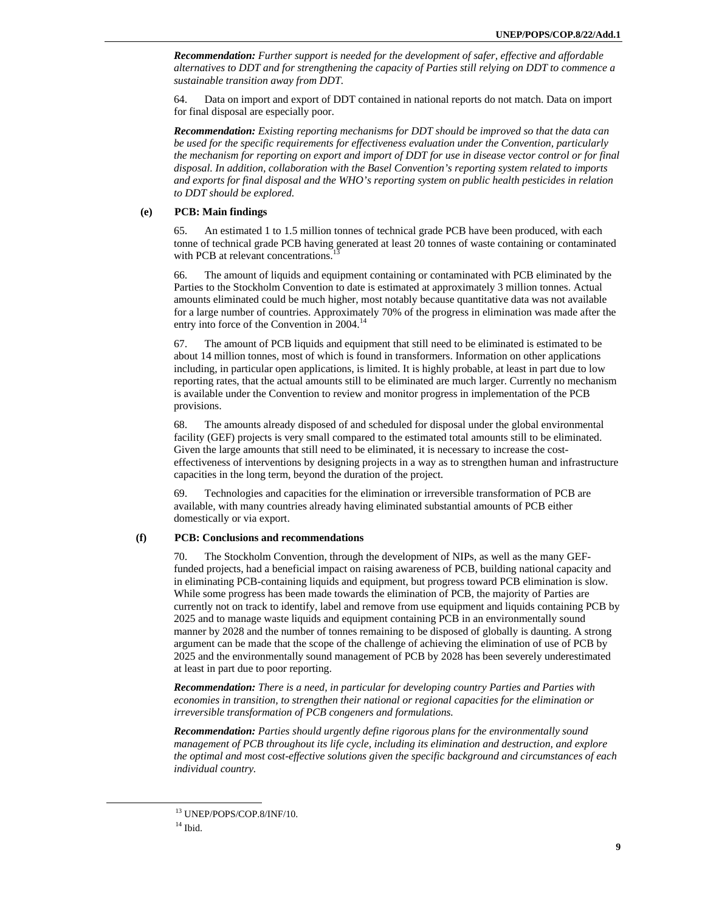*Recommendation: Further support is needed for the development of safer, effective and affordable alternatives to DDT and for strengthening the capacity of Parties still relying on DDT to commence a sustainable transition away from DDT.* 

64. Data on import and export of DDT contained in national reports do not match. Data on import for final disposal are especially poor.

*Recommendation: Existing reporting mechanisms for DDT should be improved so that the data can be used for the specific requirements for effectiveness evaluation under the Convention, particularly the mechanism for reporting on export and import of DDT for use in disease vector control or for final disposal. In addition, collaboration with the Basel Convention's reporting system related to imports and exports for final disposal and the WHO's reporting system on public health pesticides in relation to DDT should be explored.* 

#### **(e) PCB: Main findings**

65. An estimated 1 to 1.5 million tonnes of technical grade PCB have been produced, with each tonne of technical grade PCB having generated at least 20 tonnes of waste containing or contaminated with PCB at relevant concentrations.

66. The amount of liquids and equipment containing or contaminated with PCB eliminated by the Parties to the Stockholm Convention to date is estimated at approximately 3 million tonnes. Actual amounts eliminated could be much higher, most notably because quantitative data was not available for a large number of countries. Approximately 70% of the progress in elimination was made after the entry into force of the Convention in  $2004$ <sup>14</sup>

67. The amount of PCB liquids and equipment that still need to be eliminated is estimated to be about 14 million tonnes, most of which is found in transformers. Information on other applications including, in particular open applications, is limited. It is highly probable, at least in part due to low reporting rates, that the actual amounts still to be eliminated are much larger. Currently no mechanism is available under the Convention to review and monitor progress in implementation of the PCB provisions.

68. The amounts already disposed of and scheduled for disposal under the global environmental facility (GEF) projects is very small compared to the estimated total amounts still to be eliminated. Given the large amounts that still need to be eliminated, it is necessary to increase the costeffectiveness of interventions by designing projects in a way as to strengthen human and infrastructure capacities in the long term, beyond the duration of the project.

69. Technologies and capacities for the elimination or irreversible transformation of PCB are available, with many countries already having eliminated substantial amounts of PCB either domestically or via export.

#### **(f) PCB: Conclusions and recommendations**

70. The Stockholm Convention, through the development of NIPs, as well as the many GEFfunded projects, had a beneficial impact on raising awareness of PCB, building national capacity and in eliminating PCB-containing liquids and equipment, but progress toward PCB elimination is slow. While some progress has been made towards the elimination of PCB, the majority of Parties are currently not on track to identify, label and remove from use equipment and liquids containing PCB by 2025 and to manage waste liquids and equipment containing PCB in an environmentally sound manner by 2028 and the number of tonnes remaining to be disposed of globally is daunting. A strong argument can be made that the scope of the challenge of achieving the elimination of use of PCB by 2025 and the environmentally sound management of PCB by 2028 has been severely underestimated at least in part due to poor reporting.

*Recommendation: There is a need, in particular for developing country Parties and Parties with economies in transition, to strengthen their national or regional capacities for the elimination or irreversible transformation of PCB congeners and formulations.* 

*Recommendation: Parties should urgently define rigorous plans for the environmentally sound management of PCB throughout its life cycle, including its elimination and destruction, and explore the optimal and most cost-effective solutions given the specific background and circumstances of each individual country.* 

 <sup>13</sup> UNEP/POPS/COP.8/INF/10.

 $14$  Ibid.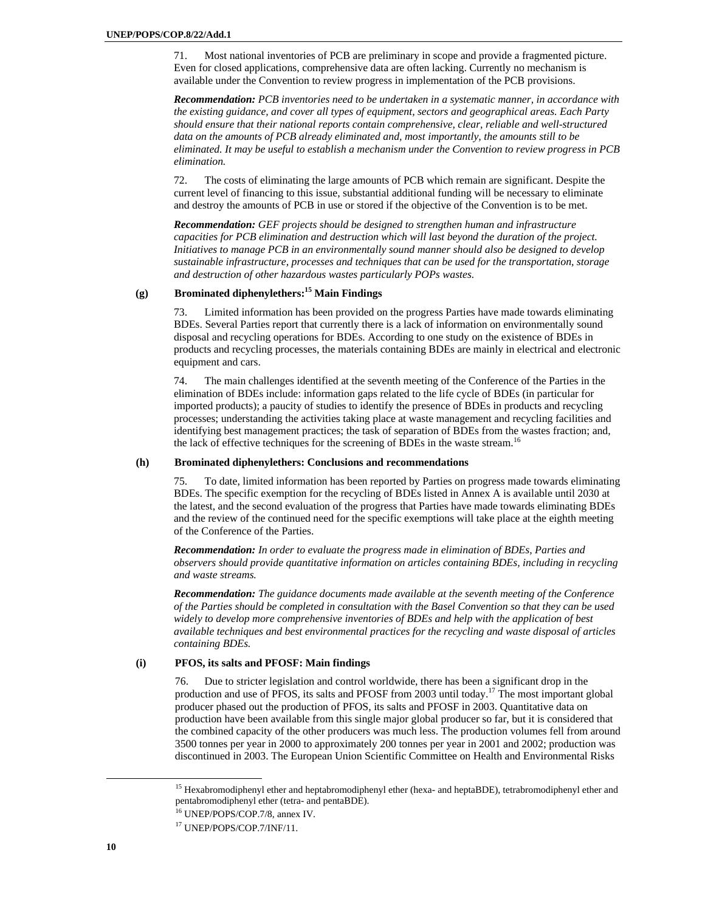71. Most national inventories of PCB are preliminary in scope and provide a fragmented picture. Even for closed applications, comprehensive data are often lacking. Currently no mechanism is available under the Convention to review progress in implementation of the PCB provisions.

*Recommendation: PCB inventories need to be undertaken in a systematic manner, in accordance with the existing guidance, and cover all types of equipment, sectors and geographical areas. Each Party should ensure that their national reports contain comprehensive, clear, reliable and well-structured data on the amounts of PCB already eliminated and, most importantly, the amounts still to be eliminated. It may be useful to establish a mechanism under the Convention to review progress in PCB elimination.* 

72. The costs of eliminating the large amounts of PCB which remain are significant. Despite the current level of financing to this issue, substantial additional funding will be necessary to eliminate and destroy the amounts of PCB in use or stored if the objective of the Convention is to be met.

*Recommendation: GEF projects should be designed to strengthen human and infrastructure capacities for PCB elimination and destruction which will last beyond the duration of the project. Initiatives to manage PCB in an environmentally sound manner should also be designed to develop sustainable infrastructure, processes and techniques that can be used for the transportation, storage and destruction of other hazardous wastes particularly POPs wastes.* 

# **(g) Brominated diphenylethers:15 Main Findings**

73. Limited information has been provided on the progress Parties have made towards eliminating BDEs. Several Parties report that currently there is a lack of information on environmentally sound disposal and recycling operations for BDEs. According to one study on the existence of BDEs in products and recycling processes, the materials containing BDEs are mainly in electrical and electronic equipment and cars.

74. The main challenges identified at the seventh meeting of the Conference of the Parties in the elimination of BDEs include: information gaps related to the life cycle of BDEs (in particular for imported products); a paucity of studies to identify the presence of BDEs in products and recycling processes; understanding the activities taking place at waste management and recycling facilities and identifying best management practices; the task of separation of BDEs from the wastes fraction; and, the lack of effective techniques for the screening of BDEs in the waste stream.<sup>16</sup>

#### **(h) Brominated diphenylethers: Conclusions and recommendations**

75. To date, limited information has been reported by Parties on progress made towards eliminating BDEs. The specific exemption for the recycling of BDEs listed in Annex A is available until 2030 at the latest, and the second evaluation of the progress that Parties have made towards eliminating BDEs and the review of the continued need for the specific exemptions will take place at the eighth meeting of the Conference of the Parties.

*Recommendation: In order to evaluate the progress made in elimination of BDEs, Parties and observers should provide quantitative information on articles containing BDEs, including in recycling and waste streams.* 

*Recommendation: The guidance documents made available at the seventh meeting of the Conference of the Parties should be completed in consultation with the Basel Convention so that they can be used widely to develop more comprehensive inventories of BDEs and help with the application of best available techniques and best environmental practices for the recycling and waste disposal of articles containing BDEs.* 

# **(i) PFOS, its salts and PFOSF: Main findings**

76. Due to stricter legislation and control worldwide, there has been a significant drop in the production and use of PFOS, its salts and PFOSF from 2003 until today.<sup>17</sup> The most important global producer phased out the production of PFOS, its salts and PFOSF in 2003. Quantitative data on production have been available from this single major global producer so far, but it is considered that the combined capacity of the other producers was much less. The production volumes fell from around 3500 tonnes per year in 2000 to approximately 200 tonnes per year in 2001 and 2002; production was discontinued in 2003. The European Union Scientific Committee on Health and Environmental Risks

<sup>&</sup>lt;sup>15</sup> Hexabromodiphenyl ether and heptabromodiphenyl ether (hexa- and heptaBDE), tetrabromodiphenyl ether and pentabromodiphenyl ether (tetra- and pentaBDE).

<sup>16</sup> UNEP/POPS/COP.7/8, annex IV.

<sup>&</sup>lt;sup>17</sup> UNEP/POPS/COP.7/INF/11.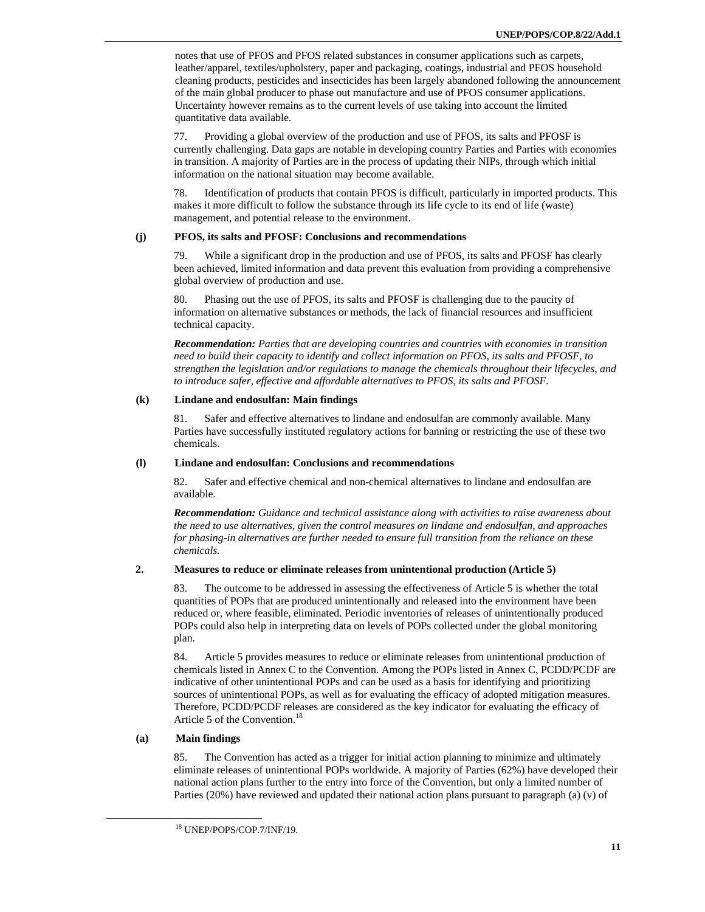notes that use of PFOS and PFOS related substances in consumer applications such as carpets, leather/apparel, textiles/upholstery, paper and packaging, coatings, industrial and PFOS household cleaning products, pesticides and insecticides has been largely abandoned following the announcement of the main global producer to phase out manufacture and use of PFOS consumer applications. Uncertainty however remains as to the current levels of use taking into account the limited quantitative data available.

77. Providing a global overview of the production and use of PFOS, its salts and PFOSF is currently challenging. Data gaps are notable in developing country Parties and Parties with economies in transition. A majority of Parties are in the process of updating their NIPs, through which initial information on the national situation may become available.

78. Identification of products that contain PFOS is difficult, particularly in imported products. This makes it more difficult to follow the substance through its life cycle to its end of life (waste) management, and potential release to the environment.

# **(j) PFOS, its salts and PFOSF: Conclusions and recommendations**

While a significant drop in the production and use of PFOS, its salts and PFOSF has clearly been achieved, limited information and data prevent this evaluation from providing a comprehensive global overview of production and use.

80. Phasing out the use of PFOS, its salts and PFOSF is challenging due to the paucity of information on alternative substances or methods, the lack of financial resources and insufficient technical capacity.

*Recommendation: Parties that are developing countries and countries with economies in transition need to build their capacity to identify and collect information on PFOS, its salts and PFOSF, to strengthen the legislation and/or regulations to manage the chemicals throughout their lifecycles, and to introduce safer, effective and affordable alternatives to PFOS, its salts and PFOSF.* 

# **(k) Lindane and endosulfan: Main findings**

81. Safer and effective alternatives to lindane and endosulfan are commonly available. Many Parties have successfully instituted regulatory actions for banning or restricting the use of these two chemicals.

#### **(l) Lindane and endosulfan: Conclusions and recommendations**

82. Safer and effective chemical and non-chemical alternatives to lindane and endosulfan are available.

*Recommendation: Guidance and technical assistance along with activities to raise awareness about the need to use alternatives, given the control measures on lindane and endosulfan, and approaches for phasing-in alternatives are further needed to ensure full transition from the reliance on these chemicals.* 

# **2. Measures to reduce or eliminate releases from unintentional production (Article 5)**

83. The outcome to be addressed in assessing the effectiveness of Article 5 is whether the total quantities of POPs that are produced unintentionally and released into the environment have been reduced or, where feasible, eliminated. Periodic inventories of releases of unintentionally produced POPs could also help in interpreting data on levels of POPs collected under the global monitoring plan.

84. Article 5 provides measures to reduce or eliminate releases from unintentional production of chemicals listed in Annex C to the Convention. Among the POPs listed in Annex C, PCDD/PCDF are indicative of other unintentional POPs and can be used as a basis for identifying and prioritizing sources of unintentional POPs, as well as for evaluating the efficacy of adopted mitigation measures. Therefore, PCDD/PCDF releases are considered as the key indicator for evaluating the efficacy of Article 5 of the Convention.<sup>18</sup>

# **(a) Main findings**

85. The Convention has acted as a trigger for initial action planning to minimize and ultimately eliminate releases of unintentional POPs worldwide. A majority of Parties (62%) have developed their national action plans further to the entry into force of the Convention, but only a limited number of Parties (20%) have reviewed and updated their national action plans pursuant to paragraph (a) (v) of

 <sup>18</sup> UNEP/POPS/COP.7/INF/19.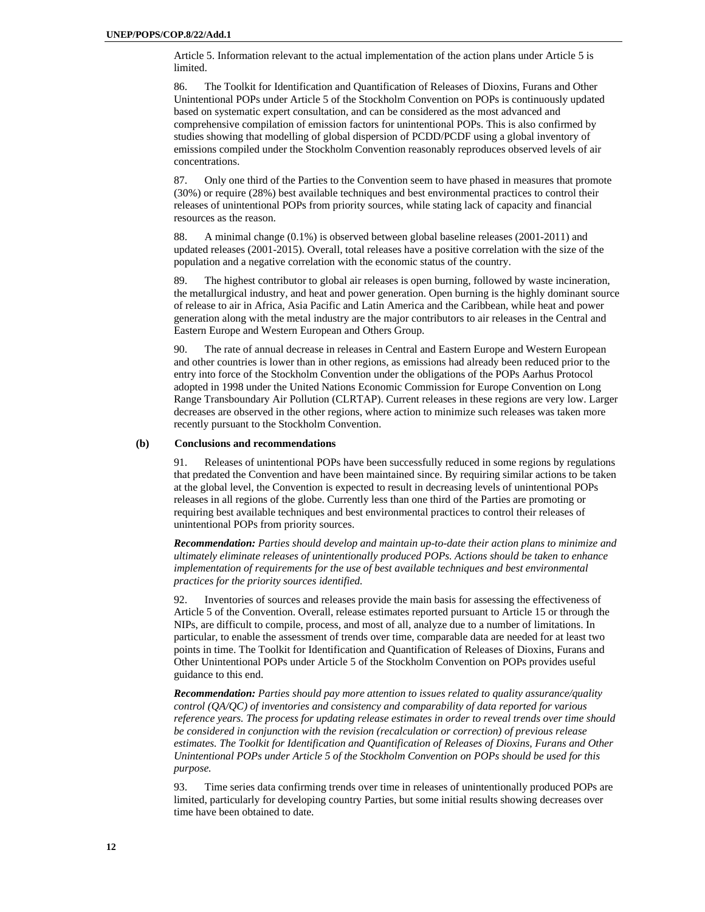Article 5. Information relevant to the actual implementation of the action plans under Article 5 is limited.

86. The Toolkit for Identification and Quantification of Releases of Dioxins, Furans and Other Unintentional POPs under Article 5 of the Stockholm Convention on POPs is continuously updated based on systematic expert consultation, and can be considered as the most advanced and comprehensive compilation of emission factors for unintentional POPs. This is also confirmed by studies showing that modelling of global dispersion of PCDD/PCDF using a global inventory of emissions compiled under the Stockholm Convention reasonably reproduces observed levels of air concentrations.

87. Only one third of the Parties to the Convention seem to have phased in measures that promote (30%) or require (28%) best available techniques and best environmental practices to control their releases of unintentional POPs from priority sources, while stating lack of capacity and financial resources as the reason.

88. A minimal change (0.1%) is observed between global baseline releases (2001-2011) and updated releases (2001-2015). Overall, total releases have a positive correlation with the size of the population and a negative correlation with the economic status of the country.

89. The highest contributor to global air releases is open burning, followed by waste incineration, the metallurgical industry, and heat and power generation. Open burning is the highly dominant source of release to air in Africa, Asia Pacific and Latin America and the Caribbean, while heat and power generation along with the metal industry are the major contributors to air releases in the Central and Eastern Europe and Western European and Others Group.

90. The rate of annual decrease in releases in Central and Eastern Europe and Western European and other countries is lower than in other regions, as emissions had already been reduced prior to the entry into force of the Stockholm Convention under the obligations of the POPs Aarhus Protocol adopted in 1998 under the United Nations Economic Commission for Europe Convention on Long Range Transboundary Air Pollution (CLRTAP). Current releases in these regions are very low. Larger decreases are observed in the other regions, where action to minimize such releases was taken more recently pursuant to the Stockholm Convention.

# **(b) Conclusions and recommendations**

91. Releases of unintentional POPs have been successfully reduced in some regions by regulations that predated the Convention and have been maintained since. By requiring similar actions to be taken at the global level, the Convention is expected to result in decreasing levels of unintentional POPs releases in all regions of the globe. Currently less than one third of the Parties are promoting or requiring best available techniques and best environmental practices to control their releases of unintentional POPs from priority sources.

*Recommendation: Parties should develop and maintain up-to-date their action plans to minimize and ultimately eliminate releases of unintentionally produced POPs. Actions should be taken to enhance implementation of requirements for the use of best available techniques and best environmental practices for the priority sources identified.* 

92. Inventories of sources and releases provide the main basis for assessing the effectiveness of Article 5 of the Convention. Overall, release estimates reported pursuant to Article 15 or through the NIPs, are difficult to compile, process, and most of all, analyze due to a number of limitations. In particular, to enable the assessment of trends over time, comparable data are needed for at least two points in time. The Toolkit for Identification and Quantification of Releases of Dioxins, Furans and Other Unintentional POPs under Article 5 of the Stockholm Convention on POPs provides useful guidance to this end.

*Recommendation: Parties should pay more attention to issues related to quality assurance/quality control (QA/QC) of inventories and consistency and comparability of data reported for various reference years. The process for updating release estimates in order to reveal trends over time should be considered in conjunction with the revision (recalculation or correction) of previous release estimates. The Toolkit for Identification and Quantification of Releases of Dioxins, Furans and Other Unintentional POPs under Article 5 of the Stockholm Convention on POPs should be used for this purpose.* 

93. Time series data confirming trends over time in releases of unintentionally produced POPs are limited, particularly for developing country Parties, but some initial results showing decreases over time have been obtained to date.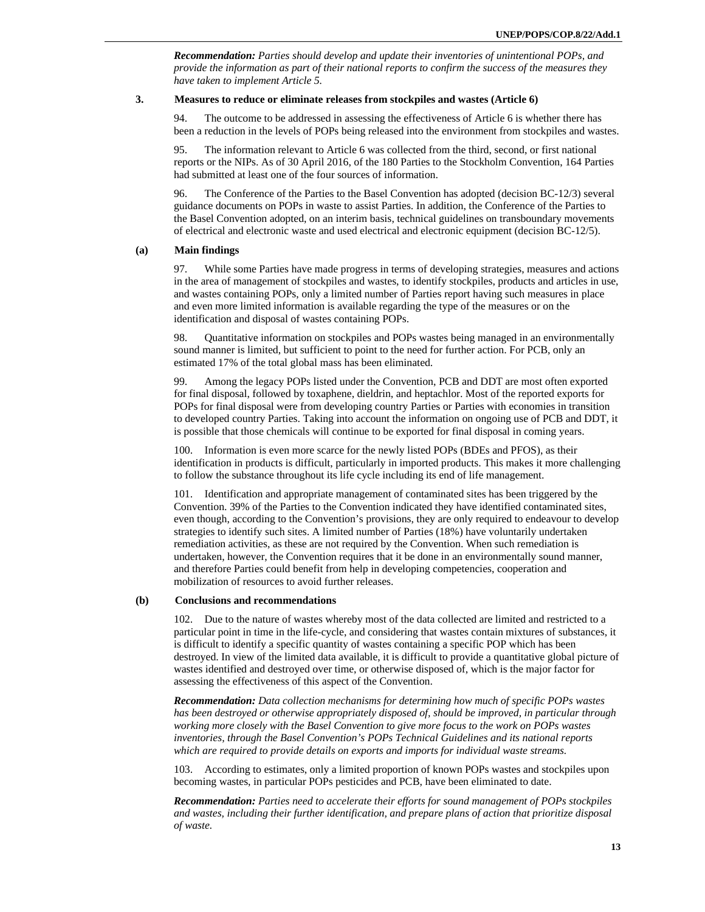*Recommendation: Parties should develop and update their inventories of unintentional POPs, and provide the information as part of their national reports to confirm the success of the measures they have taken to implement Article 5.* 

#### **3. Measures to reduce or eliminate releases from stockpiles and wastes (Article 6)**

94. The outcome to be addressed in assessing the effectiveness of Article 6 is whether there has been a reduction in the levels of POPs being released into the environment from stockpiles and wastes.

95. The information relevant to Article 6 was collected from the third, second, or first national reports or the NIPs. As of 30 April 2016, of the 180 Parties to the Stockholm Convention, 164 Parties had submitted at least one of the four sources of information.

96. The Conference of the Parties to the Basel Convention has adopted (decision BC-12/3) several guidance documents on POPs in waste to assist Parties. In addition, the Conference of the Parties to the Basel Convention adopted, on an interim basis, technical guidelines on transboundary movements of electrical and electronic waste and used electrical and electronic equipment (decision BC-12/5).

# **(a) Main findings**

97. While some Parties have made progress in terms of developing strategies, measures and actions in the area of management of stockpiles and wastes, to identify stockpiles, products and articles in use, and wastes containing POPs, only a limited number of Parties report having such measures in place and even more limited information is available regarding the type of the measures or on the identification and disposal of wastes containing POPs.

98. Quantitative information on stockpiles and POPs wastes being managed in an environmentally sound manner is limited, but sufficient to point to the need for further action. For PCB, only an estimated 17% of the total global mass has been eliminated.

99. Among the legacy POPs listed under the Convention, PCB and DDT are most often exported for final disposal, followed by toxaphene, dieldrin, and heptachlor. Most of the reported exports for POPs for final disposal were from developing country Parties or Parties with economies in transition to developed country Parties. Taking into account the information on ongoing use of PCB and DDT, it is possible that those chemicals will continue to be exported for final disposal in coming years.

100. Information is even more scarce for the newly listed POPs (BDEs and PFOS), as their identification in products is difficult, particularly in imported products. This makes it more challenging to follow the substance throughout its life cycle including its end of life management.

101. Identification and appropriate management of contaminated sites has been triggered by the Convention. 39% of the Parties to the Convention indicated they have identified contaminated sites, even though, according to the Convention's provisions, they are only required to endeavour to develop strategies to identify such sites. A limited number of Parties (18%) have voluntarily undertaken remediation activities, as these are not required by the Convention. When such remediation is undertaken, however, the Convention requires that it be done in an environmentally sound manner, and therefore Parties could benefit from help in developing competencies, cooperation and mobilization of resources to avoid further releases.

# **(b) Conclusions and recommendations**

102. Due to the nature of wastes whereby most of the data collected are limited and restricted to a particular point in time in the life-cycle, and considering that wastes contain mixtures of substances, it is difficult to identify a specific quantity of wastes containing a specific POP which has been destroyed. In view of the limited data available, it is difficult to provide a quantitative global picture of wastes identified and destroyed over time, or otherwise disposed of, which is the major factor for assessing the effectiveness of this aspect of the Convention.

*Recommendation: Data collection mechanisms for determining how much of specific POPs wastes has been destroyed or otherwise appropriately disposed of, should be improved, in particular through working more closely with the Basel Convention to give more focus to the work on POPs wastes inventories, through the Basel Convention's POPs Technical Guidelines and its national reports which are required to provide details on exports and imports for individual waste streams.* 

103. According to estimates, only a limited proportion of known POPs wastes and stockpiles upon becoming wastes, in particular POPs pesticides and PCB, have been eliminated to date.

*Recommendation: Parties need to accelerate their efforts for sound management of POPs stockpiles and wastes, including their further identification, and prepare plans of action that prioritize disposal of waste.*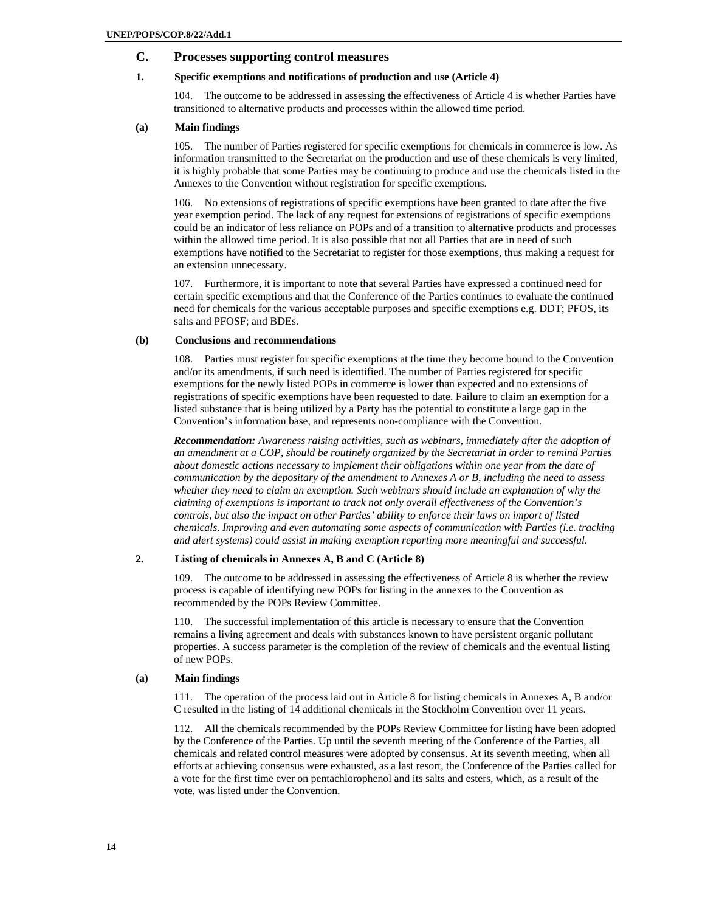# **C. Processes supporting control measures**

# **1. Specific exemptions and notifications of production and use (Article 4)**

104. The outcome to be addressed in assessing the effectiveness of Article 4 is whether Parties have transitioned to alternative products and processes within the allowed time period.

# **(a) Main findings**

105. The number of Parties registered for specific exemptions for chemicals in commerce is low. As information transmitted to the Secretariat on the production and use of these chemicals is very limited, it is highly probable that some Parties may be continuing to produce and use the chemicals listed in the Annexes to the Convention without registration for specific exemptions.

106. No extensions of registrations of specific exemptions have been granted to date after the five year exemption period. The lack of any request for extensions of registrations of specific exemptions could be an indicator of less reliance on POPs and of a transition to alternative products and processes within the allowed time period. It is also possible that not all Parties that are in need of such exemptions have notified to the Secretariat to register for those exemptions, thus making a request for an extension unnecessary.

107. Furthermore, it is important to note that several Parties have expressed a continued need for certain specific exemptions and that the Conference of the Parties continues to evaluate the continued need for chemicals for the various acceptable purposes and specific exemptions e.g. DDT; PFOS, its salts and PFOSF; and BDEs.

#### **(b) Conclusions and recommendations**

108. Parties must register for specific exemptions at the time they become bound to the Convention and/or its amendments, if such need is identified. The number of Parties registered for specific exemptions for the newly listed POPs in commerce is lower than expected and no extensions of registrations of specific exemptions have been requested to date. Failure to claim an exemption for a listed substance that is being utilized by a Party has the potential to constitute a large gap in the Convention's information base, and represents non-compliance with the Convention.

*Recommendation: Awareness raising activities, such as webinars, immediately after the adoption of an amendment at a COP, should be routinely organized by the Secretariat in order to remind Parties about domestic actions necessary to implement their obligations within one year from the date of communication by the depositary of the amendment to Annexes A or B, including the need to assess whether they need to claim an exemption. Such webinars should include an explanation of why the claiming of exemptions is important to track not only overall effectiveness of the Convention's controls, but also the impact on other Parties' ability to enforce their laws on import of listed chemicals. Improving and even automating some aspects of communication with Parties (i.e. tracking and alert systems) could assist in making exemption reporting more meaningful and successful.* 

# **2. Listing of chemicals in Annexes A, B and C (Article 8)**

109. The outcome to be addressed in assessing the effectiveness of Article 8 is whether the review process is capable of identifying new POPs for listing in the annexes to the Convention as recommended by the POPs Review Committee.

110. The successful implementation of this article is necessary to ensure that the Convention remains a living agreement and deals with substances known to have persistent organic pollutant properties. A success parameter is the completion of the review of chemicals and the eventual listing of new POPs.

# **(a) Main findings**

111. The operation of the process laid out in Article 8 for listing chemicals in Annexes A, B and/or C resulted in the listing of 14 additional chemicals in the Stockholm Convention over 11 years.

112. All the chemicals recommended by the POPs Review Committee for listing have been adopted by the Conference of the Parties. Up until the seventh meeting of the Conference of the Parties, all chemicals and related control measures were adopted by consensus. At its seventh meeting, when all efforts at achieving consensus were exhausted, as a last resort, the Conference of the Parties called for a vote for the first time ever on pentachlorophenol and its salts and esters, which, as a result of the vote, was listed under the Convention.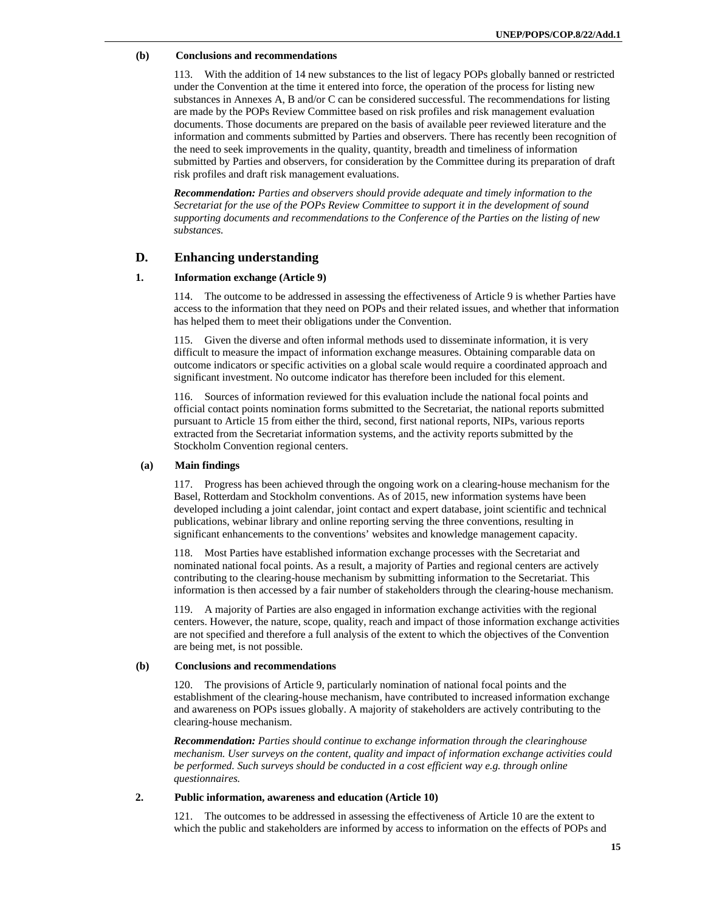#### **(b) Conclusions and recommendations**

113. With the addition of 14 new substances to the list of legacy POPs globally banned or restricted under the Convention at the time it entered into force, the operation of the process for listing new substances in Annexes A, B and/or C can be considered successful. The recommendations for listing are made by the POPs Review Committee based on risk profiles and risk management evaluation documents. Those documents are prepared on the basis of available peer reviewed literature and the information and comments submitted by Parties and observers. There has recently been recognition of the need to seek improvements in the quality, quantity, breadth and timeliness of information submitted by Parties and observers, for consideration by the Committee during its preparation of draft risk profiles and draft risk management evaluations.

*Recommendation: Parties and observers should provide adequate and timely information to the Secretariat for the use of the POPs Review Committee to support it in the development of sound supporting documents and recommendations to the Conference of the Parties on the listing of new substances.* 

# **D. Enhancing understanding**

#### **1. Information exchange (Article 9)**

114. The outcome to be addressed in assessing the effectiveness of Article 9 is whether Parties have access to the information that they need on POPs and their related issues, and whether that information has helped them to meet their obligations under the Convention.

115. Given the diverse and often informal methods used to disseminate information, it is very difficult to measure the impact of information exchange measures. Obtaining comparable data on outcome indicators or specific activities on a global scale would require a coordinated approach and significant investment. No outcome indicator has therefore been included for this element.

116. Sources of information reviewed for this evaluation include the national focal points and official contact points nomination forms submitted to the Secretariat, the national reports submitted pursuant to Article 15 from either the third, second, first national reports, NIPs, various reports extracted from the Secretariat information systems, and the activity reports submitted by the Stockholm Convention regional centers.

# **(a) Main findings**

117. Progress has been achieved through the ongoing work on a clearing-house mechanism for the Basel, Rotterdam and Stockholm conventions. As of 2015, new information systems have been developed including a joint calendar, joint contact and expert database, joint scientific and technical publications, webinar library and online reporting serving the three conventions, resulting in significant enhancements to the conventions' websites and knowledge management capacity.

118. Most Parties have established information exchange processes with the Secretariat and nominated national focal points. As a result, a majority of Parties and regional centers are actively contributing to the clearing-house mechanism by submitting information to the Secretariat. This information is then accessed by a fair number of stakeholders through the clearing-house mechanism.

119. A majority of Parties are also engaged in information exchange activities with the regional centers. However, the nature, scope, quality, reach and impact of those information exchange activities are not specified and therefore a full analysis of the extent to which the objectives of the Convention are being met, is not possible.

# **(b) Conclusions and recommendations**

120. The provisions of Article 9, particularly nomination of national focal points and the establishment of the clearing-house mechanism, have contributed to increased information exchange and awareness on POPs issues globally. A majority of stakeholders are actively contributing to the clearing-house mechanism.

*Recommendation: Parties should continue to exchange information through the clearinghouse mechanism. User surveys on the content, quality and impact of information exchange activities could be performed. Such surveys should be conducted in a cost efficient way e.g. through online questionnaires.* 

### **2. Public information, awareness and education (Article 10)**

121. The outcomes to be addressed in assessing the effectiveness of Article 10 are the extent to which the public and stakeholders are informed by access to information on the effects of POPs and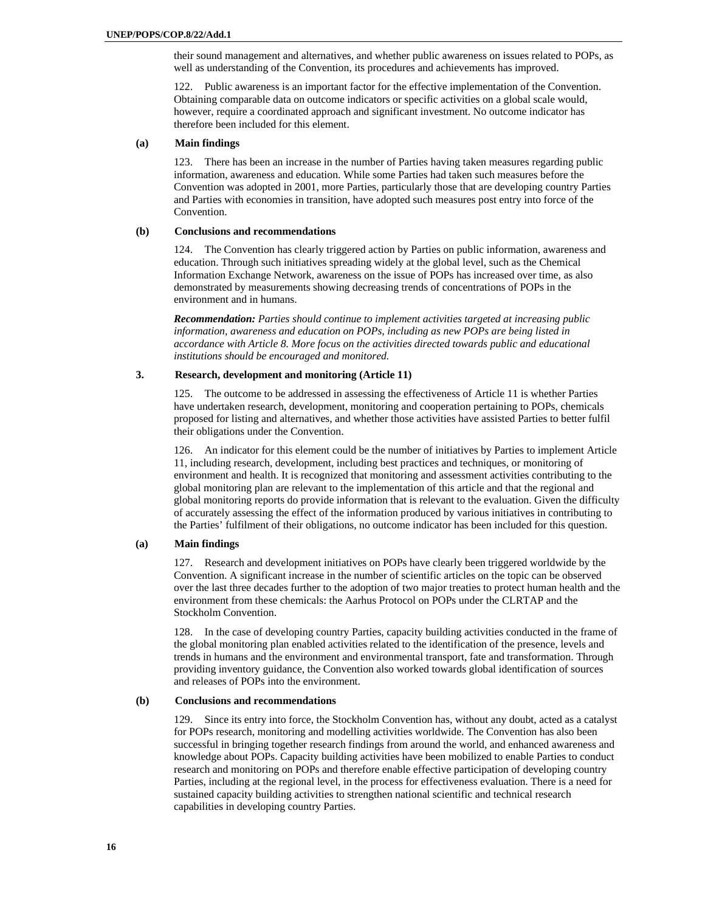their sound management and alternatives, and whether public awareness on issues related to POPs, as well as understanding of the Convention, its procedures and achievements has improved.

122. Public awareness is an important factor for the effective implementation of the Convention. Obtaining comparable data on outcome indicators or specific activities on a global scale would, however, require a coordinated approach and significant investment. No outcome indicator has therefore been included for this element.

#### **(a) Main findings**

123. There has been an increase in the number of Parties having taken measures regarding public information, awareness and education. While some Parties had taken such measures before the Convention was adopted in 2001, more Parties, particularly those that are developing country Parties and Parties with economies in transition, have adopted such measures post entry into force of the Convention.

# **(b) Conclusions and recommendations**

124. The Convention has clearly triggered action by Parties on public information, awareness and education. Through such initiatives spreading widely at the global level, such as the Chemical Information Exchange Network, awareness on the issue of POPs has increased over time, as also demonstrated by measurements showing decreasing trends of concentrations of POPs in the environment and in humans.

*Recommendation: Parties should continue to implement activities targeted at increasing public information, awareness and education on POPs, including as new POPs are being listed in accordance with Article 8. More focus on the activities directed towards public and educational institutions should be encouraged and monitored.* 

# **3. Research, development and monitoring (Article 11)**

125. The outcome to be addressed in assessing the effectiveness of Article 11 is whether Parties have undertaken research, development, monitoring and cooperation pertaining to POPs, chemicals proposed for listing and alternatives, and whether those activities have assisted Parties to better fulfil their obligations under the Convention.

126. An indicator for this element could be the number of initiatives by Parties to implement Article 11, including research, development, including best practices and techniques, or monitoring of environment and health. It is recognized that monitoring and assessment activities contributing to the global monitoring plan are relevant to the implementation of this article and that the regional and global monitoring reports do provide information that is relevant to the evaluation. Given the difficulty of accurately assessing the effect of the information produced by various initiatives in contributing to the Parties' fulfilment of their obligations, no outcome indicator has been included for this question.

# **(a) Main findings**

127. Research and development initiatives on POPs have clearly been triggered worldwide by the Convention. A significant increase in the number of scientific articles on the topic can be observed over the last three decades further to the adoption of two major treaties to protect human health and the environment from these chemicals: the Aarhus Protocol on POPs under the CLRTAP and the Stockholm Convention.

128. In the case of developing country Parties, capacity building activities conducted in the frame of the global monitoring plan enabled activities related to the identification of the presence, levels and trends in humans and the environment and environmental transport, fate and transformation. Through providing inventory guidance, the Convention also worked towards global identification of sources and releases of POPs into the environment.

# **(b) Conclusions and recommendations**

129. Since its entry into force, the Stockholm Convention has, without any doubt, acted as a catalyst for POPs research, monitoring and modelling activities worldwide. The Convention has also been successful in bringing together research findings from around the world, and enhanced awareness and knowledge about POPs. Capacity building activities have been mobilized to enable Parties to conduct research and monitoring on POPs and therefore enable effective participation of developing country Parties, including at the regional level, in the process for effectiveness evaluation. There is a need for sustained capacity building activities to strengthen national scientific and technical research capabilities in developing country Parties.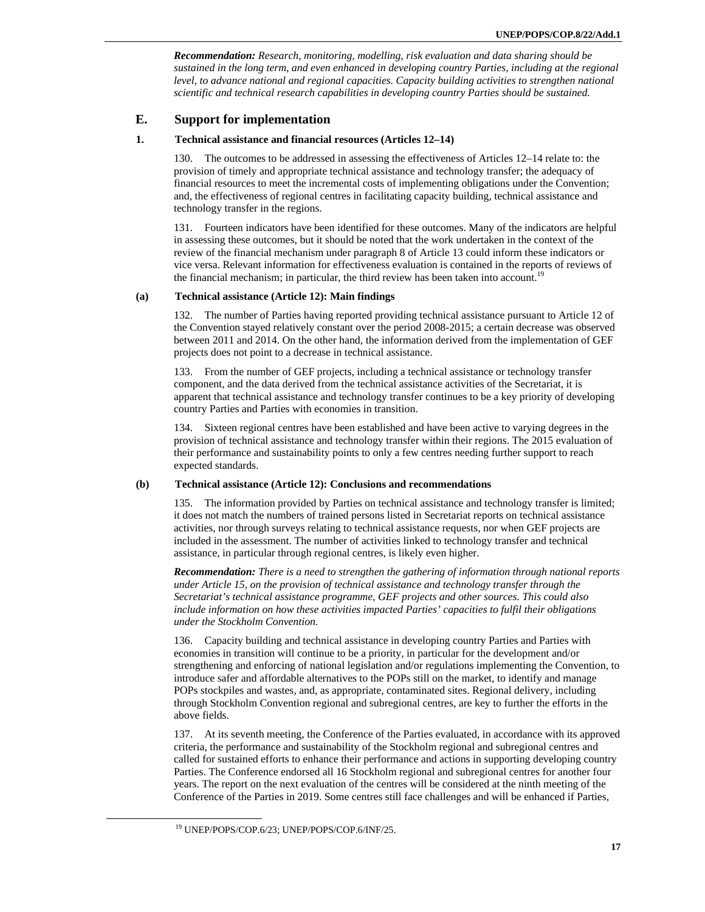*Recommendation: Research, monitoring, modelling, risk evaluation and data sharing should be sustained in the long term, and even enhanced in developing country Parties, including at the regional level, to advance national and regional capacities. Capacity building activities to strengthen national scientific and technical research capabilities in developing country Parties should be sustained.* 

# **E. Support for implementation**

# **1. Technical assistance and financial resources (Articles 12–14)**

130. The outcomes to be addressed in assessing the effectiveness of Articles 12–14 relate to: the provision of timely and appropriate technical assistance and technology transfer; the adequacy of financial resources to meet the incremental costs of implementing obligations under the Convention; and, the effectiveness of regional centres in facilitating capacity building, technical assistance and technology transfer in the regions.

131. Fourteen indicators have been identified for these outcomes. Many of the indicators are helpful in assessing these outcomes, but it should be noted that the work undertaken in the context of the review of the financial mechanism under paragraph 8 of Article 13 could inform these indicators or vice versa. Relevant information for effectiveness evaluation is contained in the reports of reviews of the financial mechanism; in particular, the third review has been taken into account.<sup>19</sup>

# **(a) Technical assistance (Article 12): Main findings**

132. The number of Parties having reported providing technical assistance pursuant to Article 12 of the Convention stayed relatively constant over the period 2008-2015; a certain decrease was observed between 2011 and 2014. On the other hand, the information derived from the implementation of GEF projects does not point to a decrease in technical assistance.

133. From the number of GEF projects, including a technical assistance or technology transfer component, and the data derived from the technical assistance activities of the Secretariat, it is apparent that technical assistance and technology transfer continues to be a key priority of developing country Parties and Parties with economies in transition.

134. Sixteen regional centres have been established and have been active to varying degrees in the provision of technical assistance and technology transfer within their regions. The 2015 evaluation of their performance and sustainability points to only a few centres needing further support to reach expected standards.

# **(b) Technical assistance (Article 12): Conclusions and recommendations**

135. The information provided by Parties on technical assistance and technology transfer is limited; it does not match the numbers of trained persons listed in Secretariat reports on technical assistance activities, nor through surveys relating to technical assistance requests, nor when GEF projects are included in the assessment. The number of activities linked to technology transfer and technical assistance, in particular through regional centres, is likely even higher.

*Recommendation: There is a need to strengthen the gathering of information through national reports under Article 15, on the provision of technical assistance and technology transfer through the Secretariat's technical assistance programme, GEF projects and other sources. This could also include information on how these activities impacted Parties' capacities to fulfil their obligations under the Stockholm Convention.* 

136. Capacity building and technical assistance in developing country Parties and Parties with economies in transition will continue to be a priority, in particular for the development and/or strengthening and enforcing of national legislation and/or regulations implementing the Convention, to introduce safer and affordable alternatives to the POPs still on the market, to identify and manage POPs stockpiles and wastes, and, as appropriate, contaminated sites. Regional delivery, including through Stockholm Convention regional and subregional centres, are key to further the efforts in the above fields.

137. At its seventh meeting, the Conference of the Parties evaluated, in accordance with its approved criteria, the performance and sustainability of the Stockholm regional and subregional centres and called for sustained efforts to enhance their performance and actions in supporting developing country Parties. The Conference endorsed all 16 Stockholm regional and subregional centres for another four years. The report on the next evaluation of the centres will be considered at the ninth meeting of the Conference of the Parties in 2019. Some centres still face challenges and will be enhanced if Parties,

 <sup>19</sup> UNEP/POPS/COP.6/23; UNEP/POPS/COP.6/INF/25.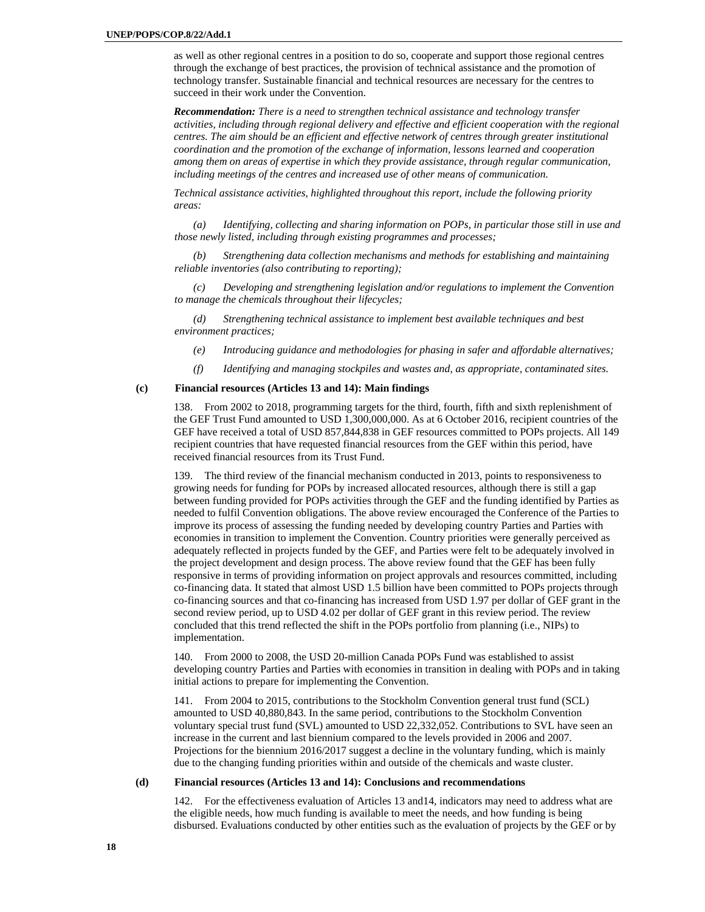as well as other regional centres in a position to do so, cooperate and support those regional centres through the exchange of best practices, the provision of technical assistance and the promotion of technology transfer. Sustainable financial and technical resources are necessary for the centres to succeed in their work under the Convention.

*Recommendation: There is a need to strengthen technical assistance and technology transfer activities, including through regional delivery and effective and efficient cooperation with the regional centres. The aim should be an efficient and effective network of centres through greater institutional coordination and the promotion of the exchange of information, lessons learned and cooperation among them on areas of expertise in which they provide assistance, through regular communication, including meetings of the centres and increased use of other means of communication.* 

*Technical assistance activities, highlighted throughout this report, include the following priority areas:* 

*(a) Identifying, collecting and sharing information on POPs, in particular those still in use and those newly listed, including through existing programmes and processes;* 

*(b) Strengthening data collection mechanisms and methods for establishing and maintaining reliable inventories (also contributing to reporting);* 

*(c) Developing and strengthening legislation and/or regulations to implement the Convention to manage the chemicals throughout their lifecycles;* 

*(d) Strengthening technical assistance to implement best available techniques and best environment practices;* 

- *(e) Introducing guidance and methodologies for phasing in safer and affordable alternatives;*
- *(f) Identifying and managing stockpiles and wastes and, as appropriate, contaminated sites.*

#### **(c) Financial resources (Articles 13 and 14): Main findings**

138. From 2002 to 2018, programming targets for the third, fourth, fifth and sixth replenishment of the GEF Trust Fund amounted to USD 1,300,000,000. As at 6 October 2016, recipient countries of the GEF have received a total of USD 857,844,838 in GEF resources committed to POPs projects. All 149 recipient countries that have requested financial resources from the GEF within this period, have received financial resources from its Trust Fund.

139. The third review of the financial mechanism conducted in 2013, points to responsiveness to growing needs for funding for POPs by increased allocated resources, although there is still a gap between funding provided for POPs activities through the GEF and the funding identified by Parties as needed to fulfil Convention obligations. The above review encouraged the Conference of the Parties to improve its process of assessing the funding needed by developing country Parties and Parties with economies in transition to implement the Convention. Country priorities were generally perceived as adequately reflected in projects funded by the GEF, and Parties were felt to be adequately involved in the project development and design process. The above review found that the GEF has been fully responsive in terms of providing information on project approvals and resources committed, including co-financing data. It stated that almost USD 1.5 billion have been committed to POPs projects through co-financing sources and that co-financing has increased from USD 1.97 per dollar of GEF grant in the second review period, up to USD 4.02 per dollar of GEF grant in this review period. The review concluded that this trend reflected the shift in the POPs portfolio from planning (i.e., NIPs) to implementation.

140. From 2000 to 2008, the USD 20-million Canada POPs Fund was established to assist developing country Parties and Parties with economies in transition in dealing with POPs and in taking initial actions to prepare for implementing the Convention.

141. From 2004 to 2015, contributions to the Stockholm Convention general trust fund (SCL) amounted to USD 40,880,843. In the same period, contributions to the Stockholm Convention voluntary special trust fund (SVL) amounted to USD 22,332,052. Contributions to SVL have seen an increase in the current and last biennium compared to the levels provided in 2006 and 2007. Projections for the biennium 2016/2017 suggest a decline in the voluntary funding, which is mainly due to the changing funding priorities within and outside of the chemicals and waste cluster.

# **(d) Financial resources (Articles 13 and 14): Conclusions and recommendations**

142. For the effectiveness evaluation of Articles 13 and14, indicators may need to address what are the eligible needs, how much funding is available to meet the needs, and how funding is being disbursed. Evaluations conducted by other entities such as the evaluation of projects by the GEF or by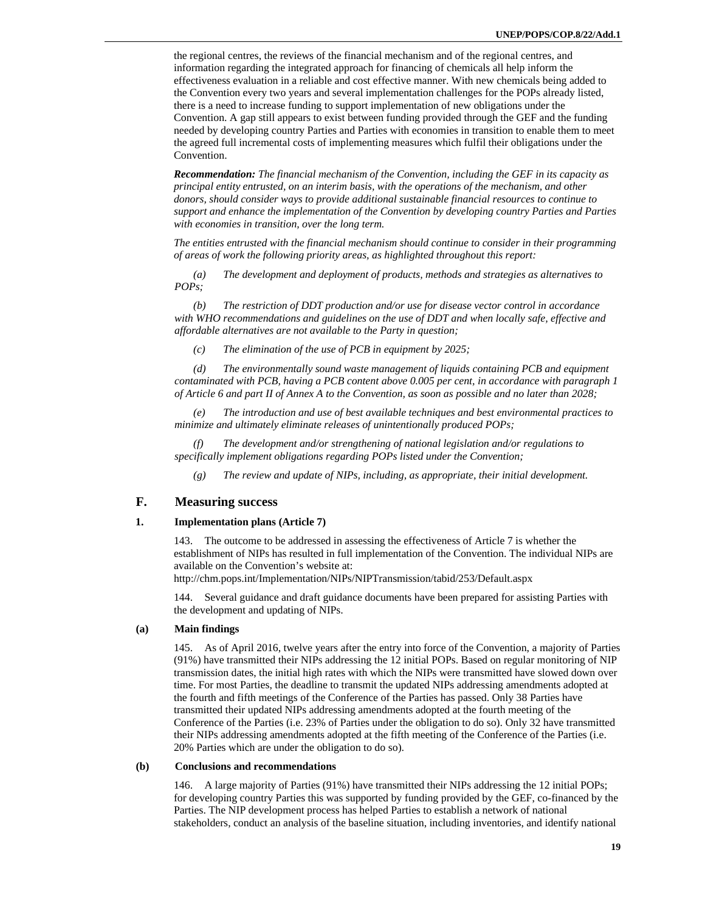the regional centres, the reviews of the financial mechanism and of the regional centres, and information regarding the integrated approach for financing of chemicals all help inform the effectiveness evaluation in a reliable and cost effective manner. With new chemicals being added to the Convention every two years and several implementation challenges for the POPs already listed, there is a need to increase funding to support implementation of new obligations under the Convention. A gap still appears to exist between funding provided through the GEF and the funding needed by developing country Parties and Parties with economies in transition to enable them to meet the agreed full incremental costs of implementing measures which fulfil their obligations under the Convention.

*Recommendation: The financial mechanism of the Convention, including the GEF in its capacity as principal entity entrusted, on an interim basis, with the operations of the mechanism, and other donors, should consider ways to provide additional sustainable financial resources to continue to support and enhance the implementation of the Convention by developing country Parties and Parties with economies in transition, over the long term.* 

*The entities entrusted with the financial mechanism should continue to consider in their programming of areas of work the following priority areas, as highlighted throughout this report:* 

*(a) The development and deployment of products, methods and strategies as alternatives to POPs;* 

*(b) The restriction of DDT production and/or use for disease vector control in accordance with WHO recommendations and guidelines on the use of DDT and when locally safe, effective and affordable alternatives are not available to the Party in question;* 

*(c) The elimination of the use of PCB in equipment by 2025;* 

*(d) The environmentally sound waste management of liquids containing PCB and equipment contaminated with PCB, having a PCB content above 0.005 per cent, in accordance with paragraph 1 of Article 6 and part II of Annex A to the Convention, as soon as possible and no later than 2028;* 

*(e) The introduction and use of best available techniques and best environmental practices to minimize and ultimately eliminate releases of unintentionally produced POPs;* 

*(f) The development and/or strengthening of national legislation and/or regulations to specifically implement obligations regarding POPs listed under the Convention;* 

*(g) The review and update of NIPs, including, as appropriate, their initial development.* 

# **F. Measuring success**

#### **1. Implementation plans (Article 7)**

143. The outcome to be addressed in assessing the effectiveness of Article 7 is whether the establishment of NIPs has resulted in full implementation of the Convention. The individual NIPs are available on the Convention's website at:

http://chm.pops.int/Implementation/NIPs/NIPTransmission/tabid/253/Default.aspx

144. Several guidance and draft guidance documents have been prepared for assisting Parties with the development and updating of NIPs.

#### **(a) Main findings**

145. As of April 2016, twelve years after the entry into force of the Convention, a majority of Parties (91%) have transmitted their NIPs addressing the 12 initial POPs. Based on regular monitoring of NIP transmission dates, the initial high rates with which the NIPs were transmitted have slowed down over time. For most Parties, the deadline to transmit the updated NIPs addressing amendments adopted at the fourth and fifth meetings of the Conference of the Parties has passed. Only 38 Parties have transmitted their updated NIPs addressing amendments adopted at the fourth meeting of the Conference of the Parties (i.e. 23% of Parties under the obligation to do so). Only 32 have transmitted their NIPs addressing amendments adopted at the fifth meeting of the Conference of the Parties (i.e. 20% Parties which are under the obligation to do so).

# **(b) Conclusions and recommendations**

146. A large majority of Parties (91%) have transmitted their NIPs addressing the 12 initial POPs; for developing country Parties this was supported by funding provided by the GEF, co-financed by the Parties. The NIP development process has helped Parties to establish a network of national stakeholders, conduct an analysis of the baseline situation, including inventories, and identify national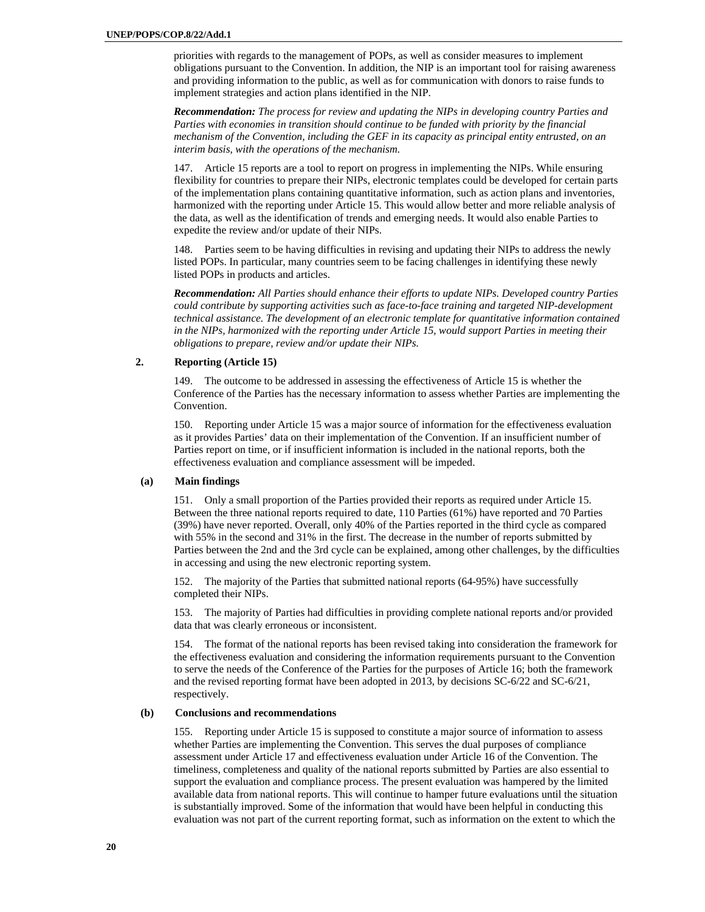priorities with regards to the management of POPs, as well as consider measures to implement obligations pursuant to the Convention. In addition, the NIP is an important tool for raising awareness and providing information to the public, as well as for communication with donors to raise funds to implement strategies and action plans identified in the NIP.

*Recommendation: The process for review and updating the NIPs in developing country Parties and Parties with economies in transition should continue to be funded with priority by the financial mechanism of the Convention, including the GEF in its capacity as principal entity entrusted, on an interim basis, with the operations of the mechanism.* 

147. Article 15 reports are a tool to report on progress in implementing the NIPs. While ensuring flexibility for countries to prepare their NIPs, electronic templates could be developed for certain parts of the implementation plans containing quantitative information, such as action plans and inventories, harmonized with the reporting under Article 15. This would allow better and more reliable analysis of the data, as well as the identification of trends and emerging needs. It would also enable Parties to expedite the review and/or update of their NIPs.

148. Parties seem to be having difficulties in revising and updating their NIPs to address the newly listed POPs. In particular, many countries seem to be facing challenges in identifying these newly listed POPs in products and articles.

*Recommendation: All Parties should enhance their efforts to update NIPs. Developed country Parties could contribute by supporting activities such as face-to-face training and targeted NIP-development technical assistance. The development of an electronic template for quantitative information contained in the NIPs, harmonized with the reporting under Article 15, would support Parties in meeting their obligations to prepare, review and/or update their NIPs.* 

# **2. Reporting (Article 15)**

149. The outcome to be addressed in assessing the effectiveness of Article 15 is whether the Conference of the Parties has the necessary information to assess whether Parties are implementing the Convention.

150. Reporting under Article 15 was a major source of information for the effectiveness evaluation as it provides Parties' data on their implementation of the Convention. If an insufficient number of Parties report on time, or if insufficient information is included in the national reports, both the effectiveness evaluation and compliance assessment will be impeded.

#### **(a) Main findings**

151. Only a small proportion of the Parties provided their reports as required under Article 15. Between the three national reports required to date, 110 Parties (61%) have reported and 70 Parties (39%) have never reported. Overall, only 40% of the Parties reported in the third cycle as compared with 55% in the second and 31% in the first. The decrease in the number of reports submitted by Parties between the 2nd and the 3rd cycle can be explained, among other challenges, by the difficulties in accessing and using the new electronic reporting system.

152. The majority of the Parties that submitted national reports (64-95%) have successfully completed their NIPs.

153. The majority of Parties had difficulties in providing complete national reports and/or provided data that was clearly erroneous or inconsistent.

154. The format of the national reports has been revised taking into consideration the framework for the effectiveness evaluation and considering the information requirements pursuant to the Convention to serve the needs of the Conference of the Parties for the purposes of Article 16; both the framework and the revised reporting format have been adopted in 2013, by decisions SC-6/22 and SC-6/21, respectively.

#### **(b) Conclusions and recommendations**

155. Reporting under Article 15 is supposed to constitute a major source of information to assess whether Parties are implementing the Convention. This serves the dual purposes of compliance assessment under Article 17 and effectiveness evaluation under Article 16 of the Convention. The timeliness, completeness and quality of the national reports submitted by Parties are also essential to support the evaluation and compliance process. The present evaluation was hampered by the limited available data from national reports. This will continue to hamper future evaluations until the situation is substantially improved. Some of the information that would have been helpful in conducting this evaluation was not part of the current reporting format, such as information on the extent to which the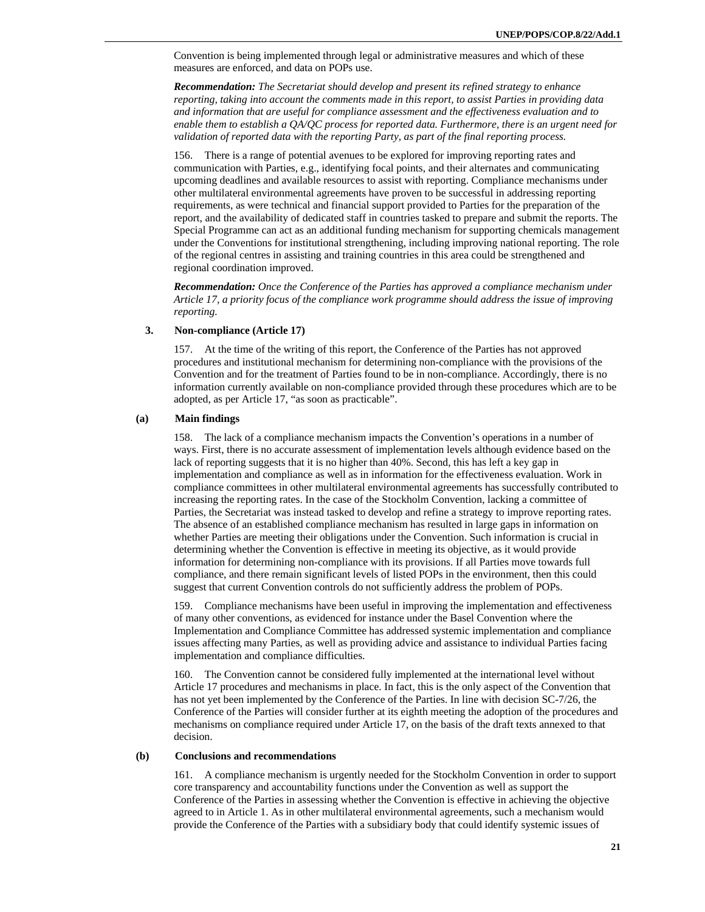Convention is being implemented through legal or administrative measures and which of these measures are enforced, and data on POPs use.

*Recommendation: The Secretariat should develop and present its refined strategy to enhance reporting, taking into account the comments made in this report, to assist Parties in providing data and information that are useful for compliance assessment and the effectiveness evaluation and to enable them to establish a QA/QC process for reported data. Furthermore, there is an urgent need for validation of reported data with the reporting Party, as part of the final reporting process.* 

156. There is a range of potential avenues to be explored for improving reporting rates and communication with Parties, e.g., identifying focal points, and their alternates and communicating upcoming deadlines and available resources to assist with reporting. Compliance mechanisms under other multilateral environmental agreements have proven to be successful in addressing reporting requirements, as were technical and financial support provided to Parties for the preparation of the report, and the availability of dedicated staff in countries tasked to prepare and submit the reports. The Special Programme can act as an additional funding mechanism for supporting chemicals management under the Conventions for institutional strengthening, including improving national reporting. The role of the regional centres in assisting and training countries in this area could be strengthened and regional coordination improved.

*Recommendation: Once the Conference of the Parties has approved a compliance mechanism under Article 17, a priority focus of the compliance work programme should address the issue of improving reporting.* 

# **3. Non-compliance (Article 17)**

157. At the time of the writing of this report, the Conference of the Parties has not approved procedures and institutional mechanism for determining non-compliance with the provisions of the Convention and for the treatment of Parties found to be in non-compliance. Accordingly, there is no information currently available on non-compliance provided through these procedures which are to be adopted, as per Article 17, "as soon as practicable".

#### **(a) Main findings**

158. The lack of a compliance mechanism impacts the Convention's operations in a number of ways. First, there is no accurate assessment of implementation levels although evidence based on the lack of reporting suggests that it is no higher than 40%. Second, this has left a key gap in implementation and compliance as well as in information for the effectiveness evaluation. Work in compliance committees in other multilateral environmental agreements has successfully contributed to increasing the reporting rates. In the case of the Stockholm Convention, lacking a committee of Parties, the Secretariat was instead tasked to develop and refine a strategy to improve reporting rates. The absence of an established compliance mechanism has resulted in large gaps in information on whether Parties are meeting their obligations under the Convention. Such information is crucial in determining whether the Convention is effective in meeting its objective, as it would provide information for determining non-compliance with its provisions. If all Parties move towards full compliance, and there remain significant levels of listed POPs in the environment, then this could suggest that current Convention controls do not sufficiently address the problem of POPs.

159. Compliance mechanisms have been useful in improving the implementation and effectiveness of many other conventions, as evidenced for instance under the Basel Convention where the Implementation and Compliance Committee has addressed systemic implementation and compliance issues affecting many Parties, as well as providing advice and assistance to individual Parties facing implementation and compliance difficulties.

160. The Convention cannot be considered fully implemented at the international level without Article 17 procedures and mechanisms in place. In fact, this is the only aspect of the Convention that has not yet been implemented by the Conference of the Parties. In line with decision SC-7/26, the Conference of the Parties will consider further at its eighth meeting the adoption of the procedures and mechanisms on compliance required under Article 17, on the basis of the draft texts annexed to that decision.

#### **(b) Conclusions and recommendations**

161. A compliance mechanism is urgently needed for the Stockholm Convention in order to support core transparency and accountability functions under the Convention as well as support the Conference of the Parties in assessing whether the Convention is effective in achieving the objective agreed to in Article 1. As in other multilateral environmental agreements, such a mechanism would provide the Conference of the Parties with a subsidiary body that could identify systemic issues of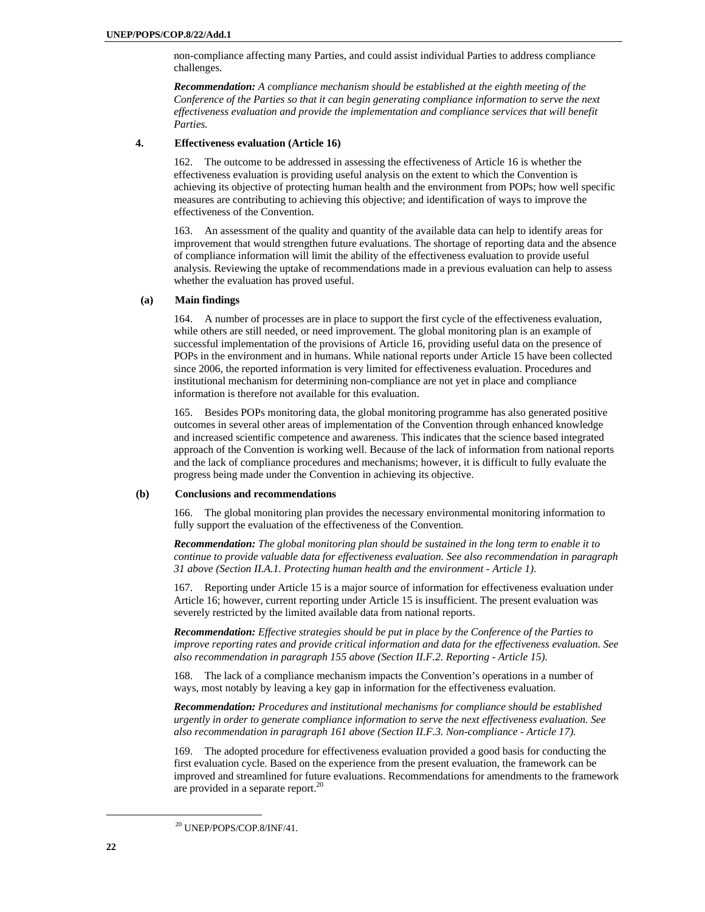non-compliance affecting many Parties, and could assist individual Parties to address compliance challenges.

*Recommendation: A compliance mechanism should be established at the eighth meeting of the Conference of the Parties so that it can begin generating compliance information to serve the next effectiveness evaluation and provide the implementation and compliance services that will benefit Parties.* 

#### **4. Effectiveness evaluation (Article 16)**

162. The outcome to be addressed in assessing the effectiveness of Article 16 is whether the effectiveness evaluation is providing useful analysis on the extent to which the Convention is achieving its objective of protecting human health and the environment from POPs; how well specific measures are contributing to achieving this objective; and identification of ways to improve the effectiveness of the Convention.

163. An assessment of the quality and quantity of the available data can help to identify areas for improvement that would strengthen future evaluations. The shortage of reporting data and the absence of compliance information will limit the ability of the effectiveness evaluation to provide useful analysis. Reviewing the uptake of recommendations made in a previous evaluation can help to assess whether the evaluation has proved useful.

#### **(a) Main findings**

164. A number of processes are in place to support the first cycle of the effectiveness evaluation, while others are still needed, or need improvement. The global monitoring plan is an example of successful implementation of the provisions of Article 16, providing useful data on the presence of POPs in the environment and in humans. While national reports under Article 15 have been collected since 2006, the reported information is very limited for effectiveness evaluation. Procedures and institutional mechanism for determining non-compliance are not yet in place and compliance information is therefore not available for this evaluation.

165. Besides POPs monitoring data, the global monitoring programme has also generated positive outcomes in several other areas of implementation of the Convention through enhanced knowledge and increased scientific competence and awareness. This indicates that the science based integrated approach of the Convention is working well. Because of the lack of information from national reports and the lack of compliance procedures and mechanisms; however, it is difficult to fully evaluate the progress being made under the Convention in achieving its objective.

#### **(b) Conclusions and recommendations**

166. The global monitoring plan provides the necessary environmental monitoring information to fully support the evaluation of the effectiveness of the Convention.

*Recommendation: The global monitoring plan should be sustained in the long term to enable it to continue to provide valuable data for effectiveness evaluation. See also recommendation in paragraph 31 above (Section II.A.1. Protecting human health and the environment - Article 1).* 

167. Reporting under Article 15 is a major source of information for effectiveness evaluation under Article 16; however, current reporting under Article 15 is insufficient. The present evaluation was severely restricted by the limited available data from national reports.

*Recommendation: Effective strategies should be put in place by the Conference of the Parties to improve reporting rates and provide critical information and data for the effectiveness evaluation. See also recommendation in paragraph 155 above (Section II.F.2. Reporting - Article 15).* 

168. The lack of a compliance mechanism impacts the Convention's operations in a number of ways, most notably by leaving a key gap in information for the effectiveness evaluation.

*Recommendation: Procedures and institutional mechanisms for compliance should be established urgently in order to generate compliance information to serve the next effectiveness evaluation. See also recommendation in paragraph 161 above (Section II.F.3. Non-compliance - Article 17).* 

169. The adopted procedure for effectiveness evaluation provided a good basis for conducting the first evaluation cycle. Based on the experience from the present evaluation, the framework can be improved and streamlined for future evaluations. Recommendations for amendments to the framework are provided in a separate report. $^{20}$ 

 <sup>20</sup> UNEP/POPS/COP.8/INF/41.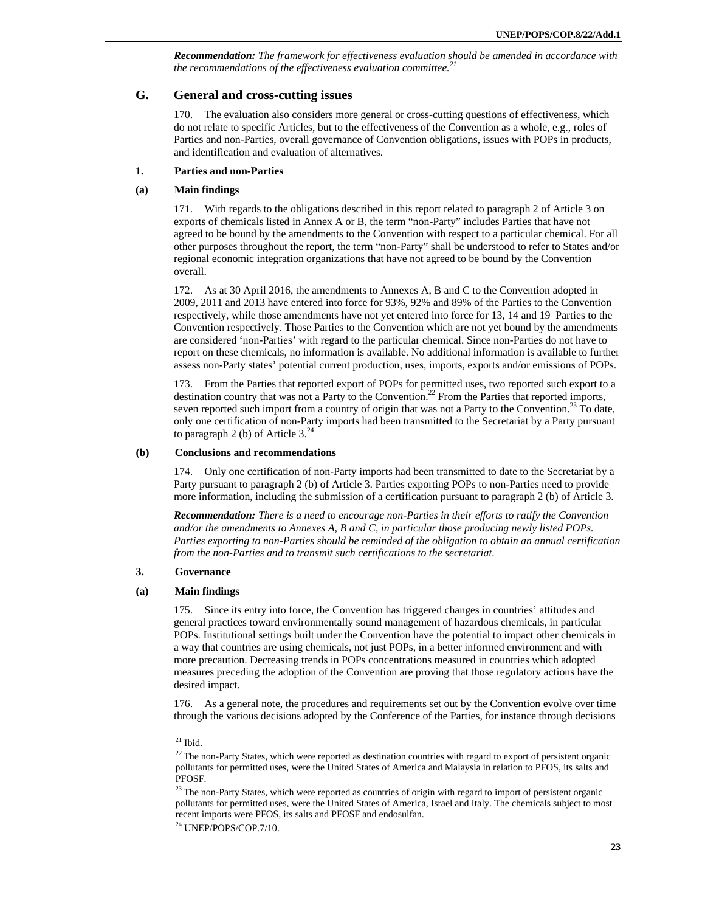*Recommendation: The framework for effectiveness evaluation should be amended in accordance with the recommendations of the effectiveness evaluation committee.<sup>21</sup>*

# **G. General and cross-cutting issues**

170. The evaluation also considers more general or cross-cutting questions of effectiveness, which do not relate to specific Articles, but to the effectiveness of the Convention as a whole, e.g., roles of Parties and non-Parties, overall governance of Convention obligations, issues with POPs in products, and identification and evaluation of alternatives.

# **1. Parties and non-Parties**

# **(a) Main findings**

171. With regards to the obligations described in this report related to paragraph 2 of Article 3 on exports of chemicals listed in Annex A or B, the term "non-Party" includes Parties that have not agreed to be bound by the amendments to the Convention with respect to a particular chemical. For all other purposes throughout the report, the term "non-Party" shall be understood to refer to States and/or regional economic integration organizations that have not agreed to be bound by the Convention overall.

172. As at 30 April 2016, the amendments to Annexes A, B and C to the Convention adopted in 2009, 2011 and 2013 have entered into force for 93%, 92% and 89% of the Parties to the Convention respectively, while those amendments have not yet entered into force for 13, 14 and 19 Parties to the Convention respectively. Those Parties to the Convention which are not yet bound by the amendments are considered 'non-Parties' with regard to the particular chemical. Since non-Parties do not have to report on these chemicals, no information is available. No additional information is available to further assess non-Party states' potential current production, uses, imports, exports and/or emissions of POPs.

173. From the Parties that reported export of POPs for permitted uses, two reported such export to a destination country that was not a Party to the Convention.<sup>22</sup> From the Parties that reported imports, seven reported such import from a country of origin that was not a Party to the Convention.<sup>23</sup> To date, only one certification of non-Party imports had been transmitted to the Secretariat by a Party pursuant to paragraph 2 (b) of Article  $3.^{24}$ 

#### **(b) Conclusions and recommendations**

174. Only one certification of non-Party imports had been transmitted to date to the Secretariat by a Party pursuant to paragraph 2 (b) of Article 3. Parties exporting POPs to non-Parties need to provide more information, including the submission of a certification pursuant to paragraph 2 (b) of Article 3.

*Recommendation: There is a need to encourage non-Parties in their efforts to ratify the Convention and/or the amendments to Annexes A, B and C, in particular those producing newly listed POPs. Parties exporting to non-Parties should be reminded of the obligation to obtain an annual certification from the non-Parties and to transmit such certifications to the secretariat.* 

# **3. Governance**

#### **(a) Main findings**

175. Since its entry into force, the Convention has triggered changes in countries' attitudes and general practices toward environmentally sound management of hazardous chemicals, in particular POPs. Institutional settings built under the Convention have the potential to impact other chemicals in a way that countries are using chemicals, not just POPs, in a better informed environment and with more precaution. Decreasing trends in POPs concentrations measured in countries which adopted measures preceding the adoption of the Convention are proving that those regulatory actions have the desired impact.

176. As a general note, the procedures and requirements set out by the Convention evolve over time through the various decisions adopted by the Conference of the Parties, for instance through decisions

 $21$  Ibid.

<sup>&</sup>lt;sup>22</sup> The non-Party States, which were reported as destination countries with regard to export of persistent organic pollutants for permitted uses, were the United States of America and Malaysia in relation to PFOS, its salts and PFOSF.

<sup>&</sup>lt;sup>23</sup> The non-Party States, which were reported as countries of origin with regard to import of persistent organic pollutants for permitted uses, were the United States of America, Israel and Italy. The chemicals subject to most recent imports were PFOS, its salts and PFOSF and endosulfan.

<sup>24</sup> UNEP/POPS/COP.7/10.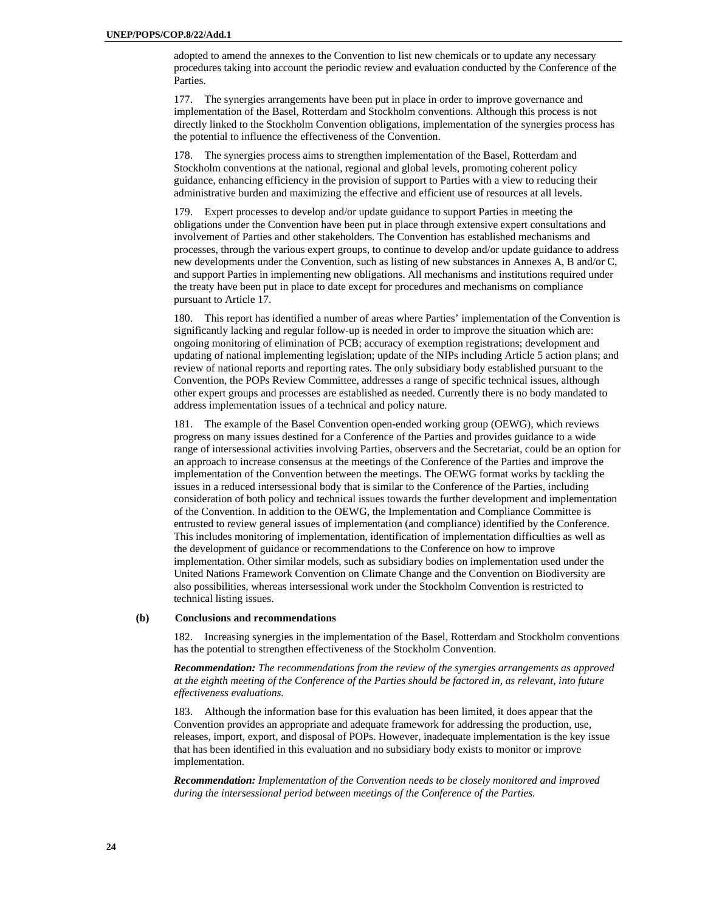adopted to amend the annexes to the Convention to list new chemicals or to update any necessary procedures taking into account the periodic review and evaluation conducted by the Conference of the Parties.

177. The synergies arrangements have been put in place in order to improve governance and implementation of the Basel, Rotterdam and Stockholm conventions. Although this process is not directly linked to the Stockholm Convention obligations, implementation of the synergies process has the potential to influence the effectiveness of the Convention.

178. The synergies process aims to strengthen implementation of the Basel, Rotterdam and Stockholm conventions at the national, regional and global levels, promoting coherent policy guidance, enhancing efficiency in the provision of support to Parties with a view to reducing their administrative burden and maximizing the effective and efficient use of resources at all levels.

179. Expert processes to develop and/or update guidance to support Parties in meeting the obligations under the Convention have been put in place through extensive expert consultations and involvement of Parties and other stakeholders. The Convention has established mechanisms and processes, through the various expert groups, to continue to develop and/or update guidance to address new developments under the Convention, such as listing of new substances in Annexes A, B and/or C, and support Parties in implementing new obligations. All mechanisms and institutions required under the treaty have been put in place to date except for procedures and mechanisms on compliance pursuant to Article 17.

180. This report has identified a number of areas where Parties' implementation of the Convention is significantly lacking and regular follow-up is needed in order to improve the situation which are: ongoing monitoring of elimination of PCB; accuracy of exemption registrations; development and updating of national implementing legislation; update of the NIPs including Article 5 action plans; and review of national reports and reporting rates. The only subsidiary body established pursuant to the Convention, the POPs Review Committee, addresses a range of specific technical issues, although other expert groups and processes are established as needed. Currently there is no body mandated to address implementation issues of a technical and policy nature.

181. The example of the Basel Convention open-ended working group (OEWG), which reviews progress on many issues destined for a Conference of the Parties and provides guidance to a wide range of intersessional activities involving Parties, observers and the Secretariat, could be an option for an approach to increase consensus at the meetings of the Conference of the Parties and improve the implementation of the Convention between the meetings. The OEWG format works by tackling the issues in a reduced intersessional body that is similar to the Conference of the Parties, including consideration of both policy and technical issues towards the further development and implementation of the Convention. In addition to the OEWG, the Implementation and Compliance Committee is entrusted to review general issues of implementation (and compliance) identified by the Conference. This includes monitoring of implementation, identification of implementation difficulties as well as the development of guidance or recommendations to the Conference on how to improve implementation. Other similar models, such as subsidiary bodies on implementation used under the United Nations Framework Convention on Climate Change and the Convention on Biodiversity are also possibilities, whereas intersessional work under the Stockholm Convention is restricted to technical listing issues.

#### **(b) Conclusions and recommendations**

182. Increasing synergies in the implementation of the Basel, Rotterdam and Stockholm conventions has the potential to strengthen effectiveness of the Stockholm Convention.

*Recommendation: The recommendations from the review of the synergies arrangements as approved at the eighth meeting of the Conference of the Parties should be factored in, as relevant, into future effectiveness evaluations.* 

183. Although the information base for this evaluation has been limited, it does appear that the Convention provides an appropriate and adequate framework for addressing the production, use, releases, import, export, and disposal of POPs. However, inadequate implementation is the key issue that has been identified in this evaluation and no subsidiary body exists to monitor or improve implementation.

*Recommendation: Implementation of the Convention needs to be closely monitored and improved during the intersessional period between meetings of the Conference of the Parties.*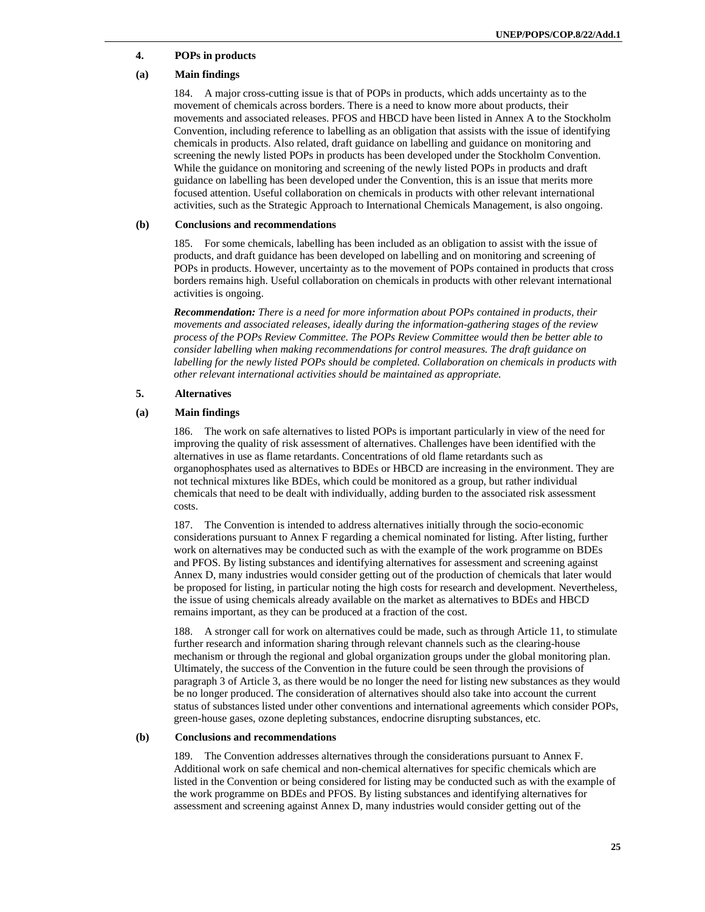# **4. POPs in products**

# **(a) Main findings**

184. A major cross-cutting issue is that of POPs in products, which adds uncertainty as to the movement of chemicals across borders. There is a need to know more about products, their movements and associated releases. PFOS and HBCD have been listed in Annex A to the Stockholm Convention, including reference to labelling as an obligation that assists with the issue of identifying chemicals in products. Also related, draft guidance on labelling and guidance on monitoring and screening the newly listed POPs in products has been developed under the Stockholm Convention. While the guidance on monitoring and screening of the newly listed POPs in products and draft guidance on labelling has been developed under the Convention, this is an issue that merits more focused attention. Useful collaboration on chemicals in products with other relevant international activities, such as the Strategic Approach to International Chemicals Management, is also ongoing.

#### **(b) Conclusions and recommendations**

185. For some chemicals, labelling has been included as an obligation to assist with the issue of products, and draft guidance has been developed on labelling and on monitoring and screening of POPs in products. However, uncertainty as to the movement of POPs contained in products that cross borders remains high. Useful collaboration on chemicals in products with other relevant international activities is ongoing.

*Recommendation: There is a need for more information about POPs contained in products, their movements and associated releases, ideally during the information-gathering stages of the review process of the POPs Review Committee. The POPs Review Committee would then be better able to consider labelling when making recommendations for control measures. The draft guidance on labelling for the newly listed POPs should be completed. Collaboration on chemicals in products with other relevant international activities should be maintained as appropriate.* 

# **5. Alternatives**

#### **(a) Main findings**

186. The work on safe alternatives to listed POPs is important particularly in view of the need for improving the quality of risk assessment of alternatives. Challenges have been identified with the alternatives in use as flame retardants. Concentrations of old flame retardants such as organophosphates used as alternatives to BDEs or HBCD are increasing in the environment. They are not technical mixtures like BDEs, which could be monitored as a group, but rather individual chemicals that need to be dealt with individually, adding burden to the associated risk assessment costs.

187. The Convention is intended to address alternatives initially through the socio-economic considerations pursuant to Annex F regarding a chemical nominated for listing. After listing, further work on alternatives may be conducted such as with the example of the work programme on BDEs and PFOS. By listing substances and identifying alternatives for assessment and screening against Annex D, many industries would consider getting out of the production of chemicals that later would be proposed for listing, in particular noting the high costs for research and development. Nevertheless, the issue of using chemicals already available on the market as alternatives to BDEs and HBCD remains important, as they can be produced at a fraction of the cost.

188. A stronger call for work on alternatives could be made, such as through Article 11, to stimulate further research and information sharing through relevant channels such as the clearing-house mechanism or through the regional and global organization groups under the global monitoring plan. Ultimately, the success of the Convention in the future could be seen through the provisions of paragraph 3 of Article 3, as there would be no longer the need for listing new substances as they would be no longer produced. The consideration of alternatives should also take into account the current status of substances listed under other conventions and international agreements which consider POPs, green-house gases, ozone depleting substances, endocrine disrupting substances, etc.

#### **(b) Conclusions and recommendations**

189. The Convention addresses alternatives through the considerations pursuant to Annex F. Additional work on safe chemical and non-chemical alternatives for specific chemicals which are listed in the Convention or being considered for listing may be conducted such as with the example of the work programme on BDEs and PFOS. By listing substances and identifying alternatives for assessment and screening against Annex D, many industries would consider getting out of the